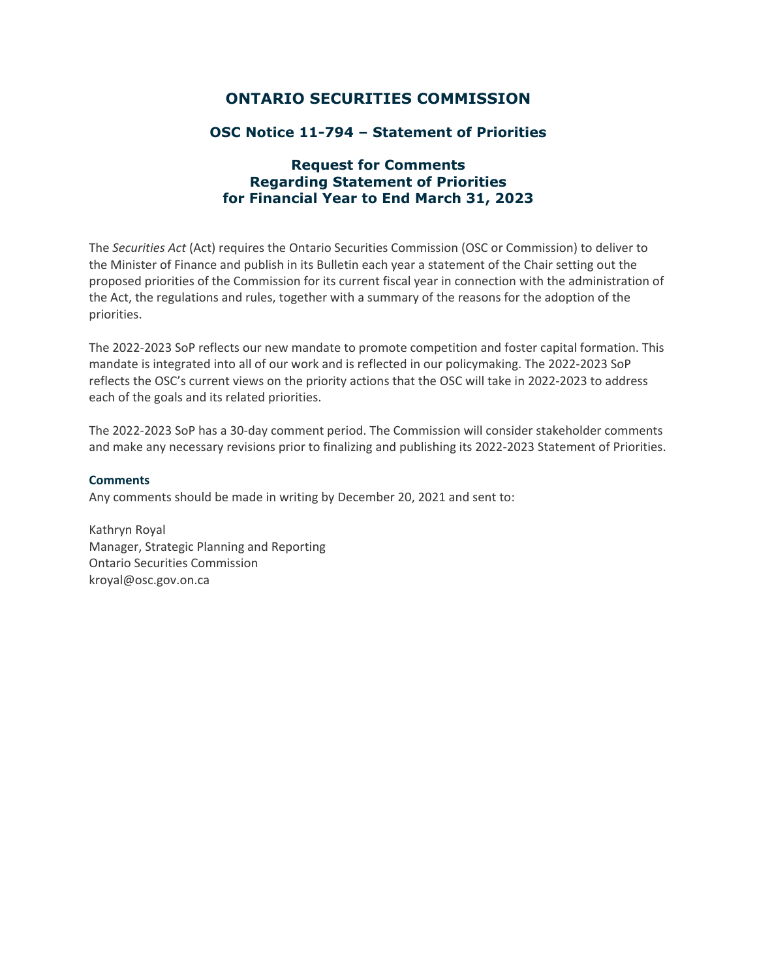#### **ONTARIO SECURITIES COMMISSION**

#### **OSC Notice 11-794 – Statement of Priorities**

#### **Request for Comments Regarding Statement of Priorities for Financial Year to End March 31, 2023**

The *Securities Act* (Act) requires the Ontario Securities Commission (OSC or Commission) to deliver to the Minister of Finance and publish in its Bulletin each year a statement of the Chair setting out the proposed priorities of the Commission for its current fiscal year in connection with the administration of the Act, the regulations and rules, together with a summary of the reasons for the adoption of the priorities.

The 2022-2023 SoP reflects our new mandate to promote competition and foster capital formation. This mandate is integrated into all of our work and is reflected in our policymaking. The 2022-2023 SoP reflects the OSC's current views on the priority actions that the OSC will take in 2022-2023 to address each of the goals and its related priorities.

The 2022-2023 SoP has a 30-day comment period. The Commission will consider stakeholder comments and make any necessary revisions prior to finalizing and publishing its 2022-2023 Statement of Priorities.

#### **Comments**

Any comments should be made in writing by December 20, 2021 and sent to:

Kathryn Royal Manager, Strategic Planning and Reporting Ontario Securities Commission kroyal@osc.gov.on.ca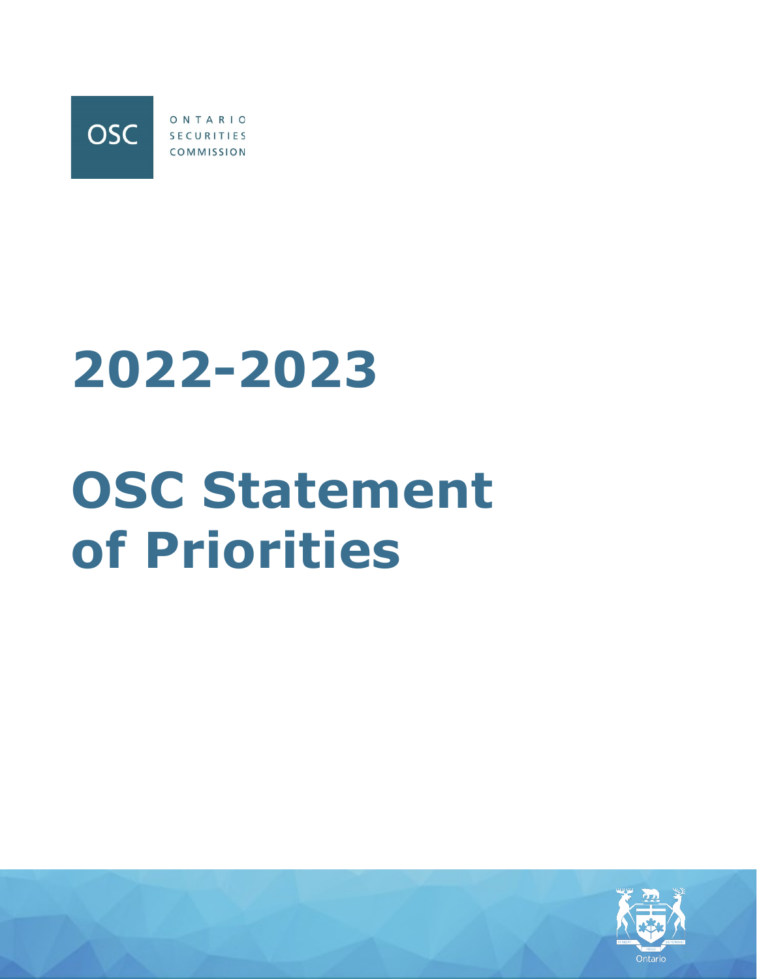

ONTARIO **SECURITIES** COMMISSION

## **2022-2023**

# **OSC Statement of Priorities**

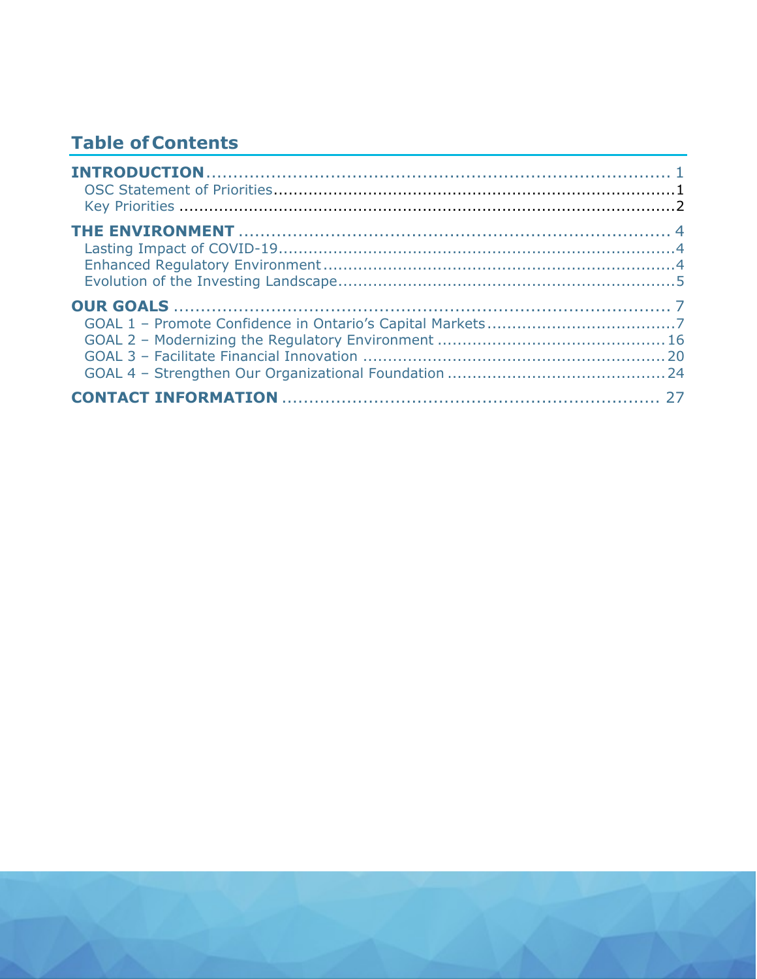## **Table of Contents**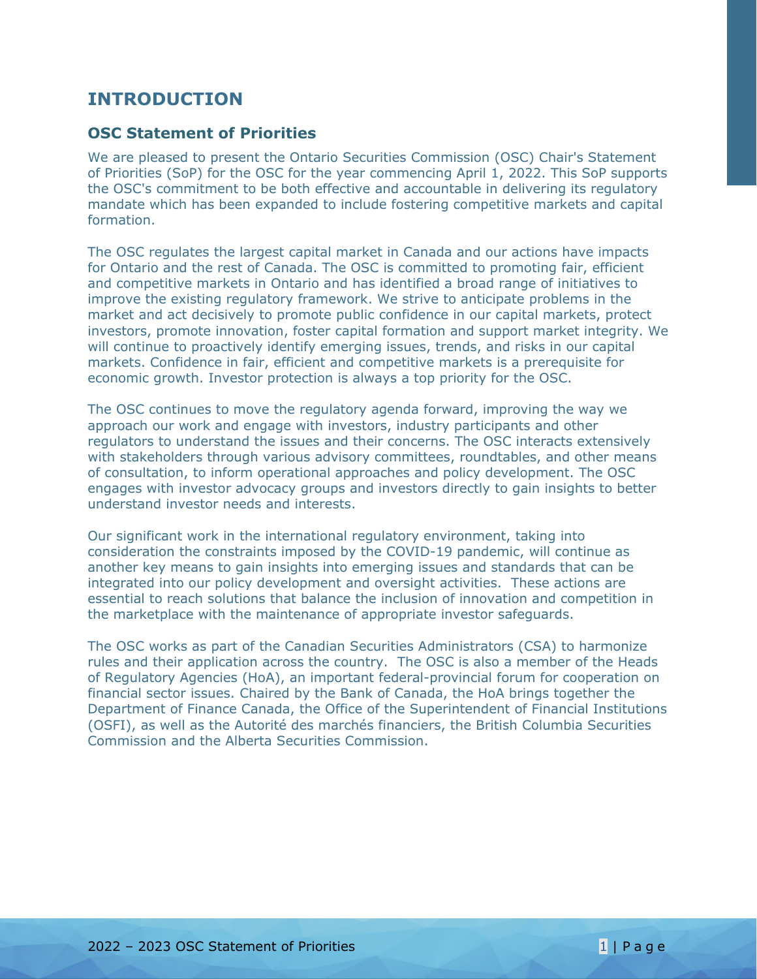## <span id="page-3-0"></span>**INTRODUCTION**

#### <span id="page-3-1"></span>**OSC Statement of Priorities**

We are pleased to present the Ontario Securities Commission (OSC) Chair's Statement of Priorities (SoP) for the OSC for the year commencing April 1, 2022. This SoP supports the OSC's commitment to be both effective and accountable in delivering its regulatory mandate which has been expanded to include fostering competitive markets and capital formation.

The OSC regulates the largest capital market in Canada and our actions have impacts for Ontario and the rest of Canada. The OSC is committed to promoting fair, efficient and competitive markets in Ontario and has identified a broad range of initiatives to improve the existing regulatory framework. We strive to anticipate problems in the market and act decisively to promote public confidence in our capital markets, protect investors, promote innovation, foster capital formation and support market integrity. We will continue to proactively identify emerging issues, trends, and risks in our capital markets. Confidence in fair, efficient and competitive markets is a prerequisite for economic growth. Investor protection is always a top priority for the OSC.

The OSC continues to move the regulatory agenda forward, improving the way we approach our work and engage with investors, industry participants and other regulators to understand the issues and their concerns. The OSC interacts extensively with stakeholders through various advisory committees, roundtables, and other means of consultation, to inform operational approaches and policy development. The OSC engages with investor advocacy groups and investors directly to gain insights to better understand investor needs and interests.

Our significant work in the international regulatory environment, taking into consideration the constraints imposed by the COVID-19 pandemic, will continue as another key means to gain insights into emerging issues and standards that can be integrated into our policy development and oversight activities. These actions are essential to reach solutions that balance the inclusion of innovation and competition in the marketplace with the maintenance of appropriate investor safeguards.

The OSC works as part of the Canadian Securities Administrators (CSA) to harmonize rules and their application across the country. The OSC is also a member of the Heads of Regulatory Agencies (HoA), an important federal-provincial forum for cooperation on financial sector issues. Chaired by the Bank of Canada, the HoA brings together the Department of Finance Canada, the Office of the Superintendent of Financial Institutions (OSFI), as well as the Autorité des marchés financiers, the British Columbia Securities Commission and the Alberta Securities Commission.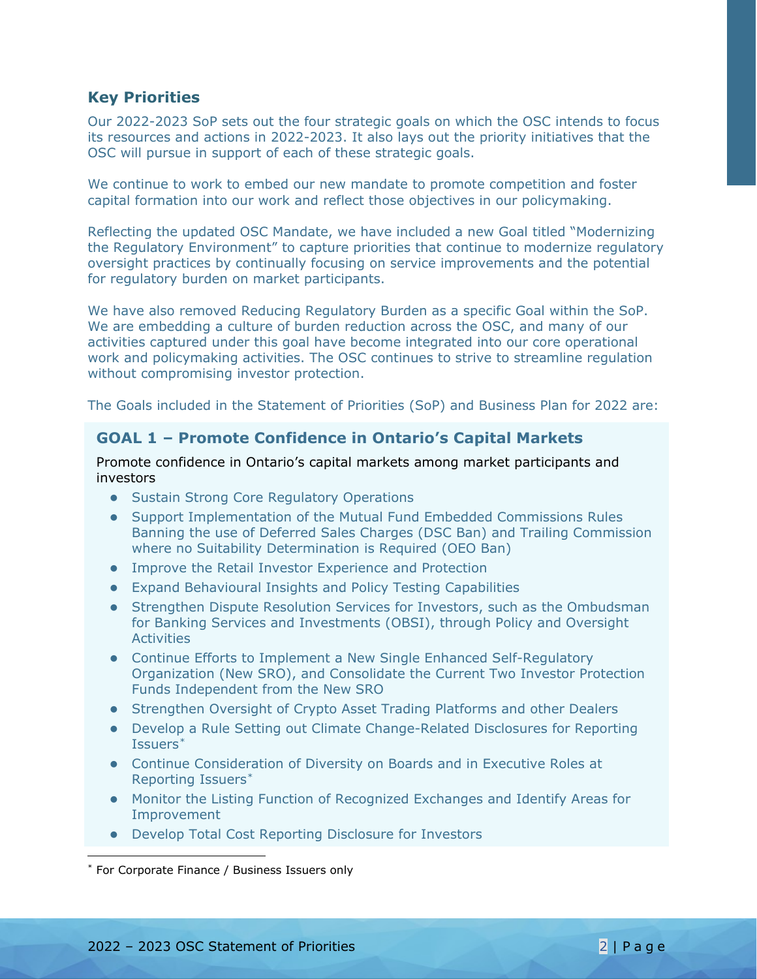#### <span id="page-4-0"></span>**Key Priorities**

Our 2022-2023 SoP sets out the four strategic goals on which the OSC intends to focus its resources and actions in 2022-2023. It also lays out the priority initiatives that the OSC will pursue in support of each of these strategic goals.

We continue to work to embed our new mandate to promote competition and foster capital formation into our work and reflect those objectives in our policymaking.

Reflecting the updated OSC Mandate, we have included a new Goal titled "Modernizing the Regulatory Environment" to capture priorities that continue to modernize regulatory oversight practices by continually focusing on service improvements and the potential for regulatory burden on market participants.

We have also removed Reducing Regulatory Burden as a specific Goal within the SoP. We are embedding a culture of burden reduction across the OSC, and many of our activities captured under this goal have become integrated into our core operational work and policymaking activities. The OSC continues to strive to streamline regulation without compromising investor protection.

The Goals included in the Statement of Priorities (SoP) and Business Plan for 2022 are:

#### **GOAL 1 – Promote Confidence in Ontario's Capital Markets**

Promote confidence in Ontario's capital markets among market participants and investors

- **Sustain Strong Core Regulatory Operations**
- Support Implementation of the Mutual Fund Embedded Commissions Rules Banning the use of Deferred Sales Charges (DSC Ban) and Trailing Commission where no Suitability Determination is Required (OEO Ban)
- **•** Improve the Retail Investor Experience and Protection
- Expand Behavioural Insights and Policy Testing Capabilities
- Strengthen Dispute Resolution Services for Investors, such as the Ombudsman for Banking Services and Investments (OBSI), through Policy and Oversight **Activities**
- Continue Efforts to Implement a New Single Enhanced Self-Regulatory Organization (New SRO), and Consolidate the Current Two Investor Protection Funds Independent from the New SRO
- Strengthen Oversight of Crypto Asset Trading Platforms and other Dealers
- Develop a Rule Setting out Climate Change-Related Disclosures for Reporting Issuers[\\*](#page-4-1)
- Continue Consideration of Diversity on Boards and in Executive Roles at Reporting Issuers[\\*](#page-4-2)
- Monitor the Listing Function of Recognized Exchanges and Identify Areas for Improvement
- Develop Total Cost Reporting Disclosure for Investors

<span id="page-4-2"></span><span id="page-4-1"></span>\* For Corporate Finance / Business Issuers only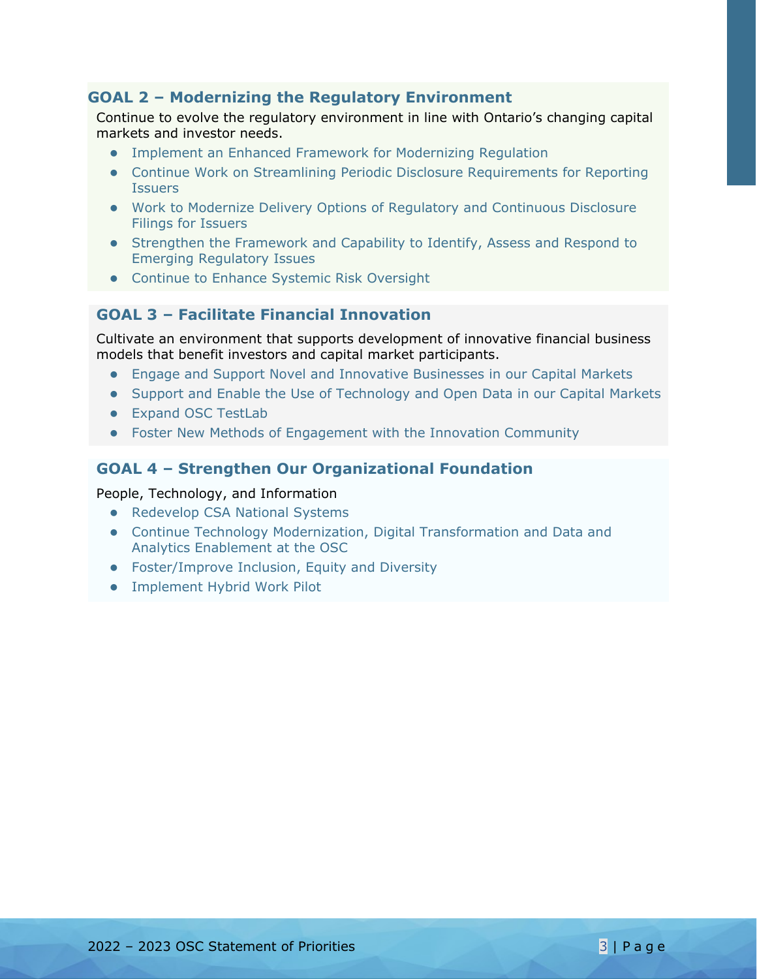#### **GOAL 2 – Modernizing the Regulatory Environment**

Continue to evolve the regulatory environment in line with Ontario's changing capital markets and investor needs.

- **Implement an Enhanced Framework for Modernizing Regulation**
- Continue Work on Streamlining Periodic Disclosure Requirements for Reporting Issuers
- Work to Modernize Delivery Options of Regulatory and Continuous Disclosure Filings for Issuers
- Strengthen the Framework and Capability to Identify, Assess and Respond to Emerging Regulatory Issues
- **•** Continue to Enhance Systemic Risk Oversight

#### **GOAL 3 – Facilitate Financial Innovation**

Cultivate an environment that supports development of innovative financial business models that benefit investors and capital market participants.

- Engage and Support Novel and Innovative Businesses in our Capital Markets
- Support and Enable the Use of Technology and Open Data in our Capital Markets
- Expand OSC TestLab
- Foster New Methods of Engagement with the Innovation Community

#### **GOAL 4 – Strengthen Our Organizational Foundation**

#### People, Technology, and Information

- Redevelop CSA National Systems
- Continue Technology Modernization, Digital Transformation and Data and Analytics Enablement at the OSC
- **•** Foster/Improve Inclusion, Equity and Diversity
- Implement Hybrid Work Pilot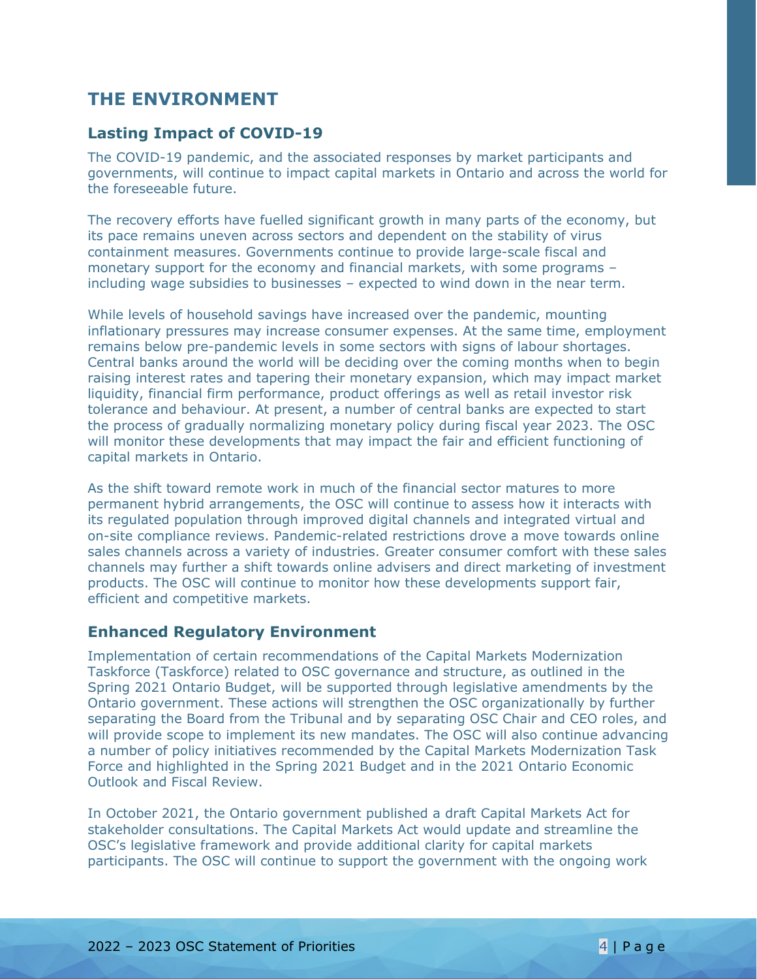## <span id="page-6-0"></span>**THE ENVIRONMENT**

#### <span id="page-6-1"></span>**Lasting Impact of COVID-19**

The COVID-19 pandemic, and the associated responses by market participants and governments, will continue to impact capital markets in Ontario and across the world for the foreseeable future.

The recovery efforts have fuelled significant growth in many parts of the economy, but its pace remains uneven across sectors and dependent on the stability of virus containment measures. Governments continue to provide large-scale fiscal and monetary support for the economy and financial markets, with some programs – including wage subsidies to businesses – expected to wind down in the near term.

While levels of household savings have increased over the pandemic, mounting inflationary pressures may increase consumer expenses. At the same time, employment remains below pre-pandemic levels in some sectors with signs of labour shortages. Central banks around the world will be deciding over the coming months when to begin raising interest rates and tapering their monetary expansion, which may impact market liquidity, financial firm performance, product offerings as well as retail investor risk tolerance and behaviour. At present, a number of central banks are expected to start the process of gradually normalizing monetary policy during fiscal year 2023. The OSC will monitor these developments that may impact the fair and efficient functioning of capital markets in Ontario.

As the shift toward remote work in much of the financial sector matures to more permanent hybrid arrangements, the OSC will continue to assess how it interacts with its regulated population through improved digital channels and integrated virtual and on-site compliance reviews. Pandemic-related restrictions drove a move towards online sales channels across a variety of industries. Greater consumer comfort with these sales channels may further a shift towards online advisers and direct marketing of investment products. The OSC will continue to monitor how these developments support fair, efficient and competitive markets.

#### <span id="page-6-2"></span>**Enhanced Regulatory Environment**

Implementation of certain recommendations of the Capital Markets Modernization Taskforce (Taskforce) related to OSC governance and structure, as outlined in the Spring 2021 Ontario Budget, will be supported through legislative amendments by the Ontario government. These actions will strengthen the OSC organizationally by further separating the Board from the Tribunal and by separating OSC Chair and CEO roles, and will provide scope to implement its new mandates. The OSC will also continue advancing a number of policy initiatives recommended by the Capital Markets Modernization Task Force and highlighted in the Spring 2021 Budget and in the 2021 Ontario Economic Outlook and Fiscal Review.

In October 2021, the Ontario government published a draft Capital Markets Act for stakeholder consultations. The Capital Markets Act would update and streamline the OSC's legislative framework and provide additional clarity for capital markets participants. The OSC will continue to support the government with the ongoing work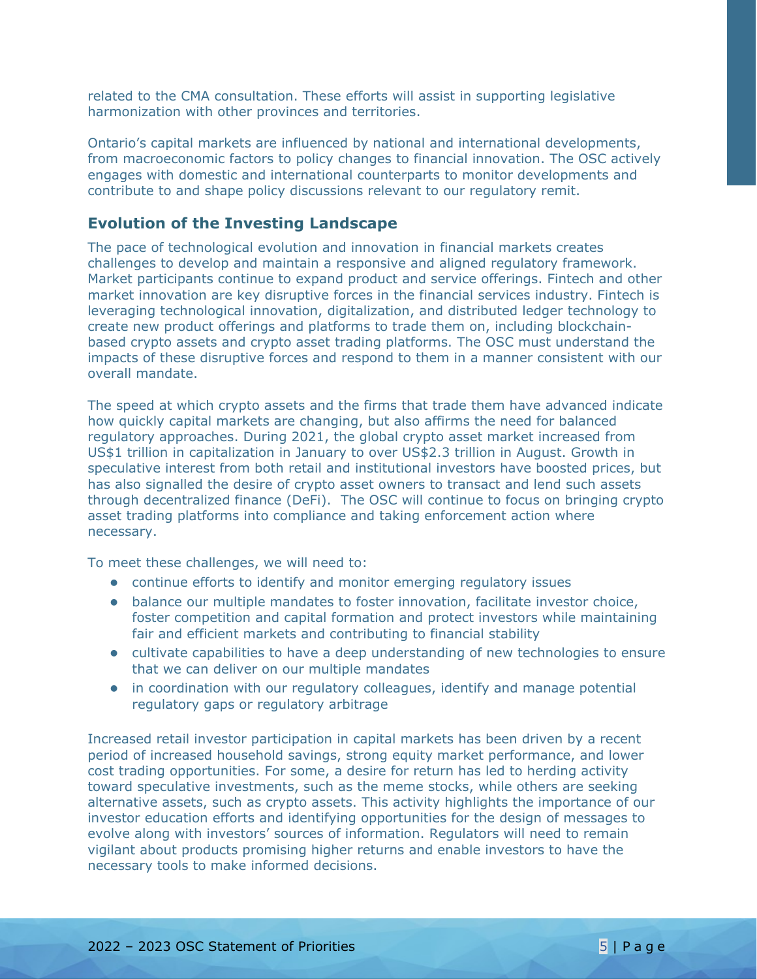related to the CMA consultation. These efforts will assist in supporting legislative harmonization with other provinces and territories.

Ontario's capital markets are influenced by national and international developments, from macroeconomic factors to policy changes to financial innovation. The OSC actively engages with domestic and international counterparts to monitor developments and contribute to and shape policy discussions relevant to our regulatory remit.

#### <span id="page-7-0"></span>**Evolution of the Investing Landscape**

The pace of technological evolution and innovation in financial markets creates challenges to develop and maintain a responsive and aligned regulatory framework. Market participants continue to expand product and service offerings. Fintech and other market innovation are key disruptive forces in the financial services industry. Fintech is leveraging technological innovation, digitalization, and distributed ledger technology to create new product offerings and platforms to trade them on, including blockchainbased crypto assets and crypto asset trading platforms. The OSC must understand the impacts of these disruptive forces and respond to them in a manner consistent with our overall mandate.

The speed at which crypto assets and the firms that trade them have advanced indicate how quickly capital markets are changing, but also affirms the need for balanced regulatory approaches. During 2021, the global crypto asset market increased from US\$1 trillion in capitalization in January to over US\$2.3 trillion in August. Growth in speculative interest from both retail and institutional investors have boosted prices, but has also signalled the desire of crypto asset owners to transact and lend such assets through decentralized finance (DeFi). The OSC will continue to focus on bringing crypto asset trading platforms into compliance and taking enforcement action where necessary.

To meet these challenges, we will need to:

- continue efforts to identify and monitor emerging regulatory issues
- balance our multiple mandates to foster innovation, facilitate investor choice, foster competition and capital formation and protect investors while maintaining fair and efficient markets and contributing to financial stability
- cultivate capabilities to have a deep understanding of new technologies to ensure that we can deliver on our multiple mandates
- in coordination with our regulatory colleagues, identify and manage potential regulatory gaps or regulatory arbitrage

Increased retail investor participation in capital markets has been driven by a recent period of increased household savings, strong equity market performance, and lower cost trading opportunities. For some, a desire for return has led to herding activity toward speculative investments, such as the meme stocks, while others are seeking alternative assets, such as crypto assets. This activity highlights the importance of our investor education efforts and identifying opportunities for the design of messages to evolve along with investors' sources of information. Regulators will need to remain vigilant about products promising higher returns and enable investors to have the necessary tools to make informed decisions.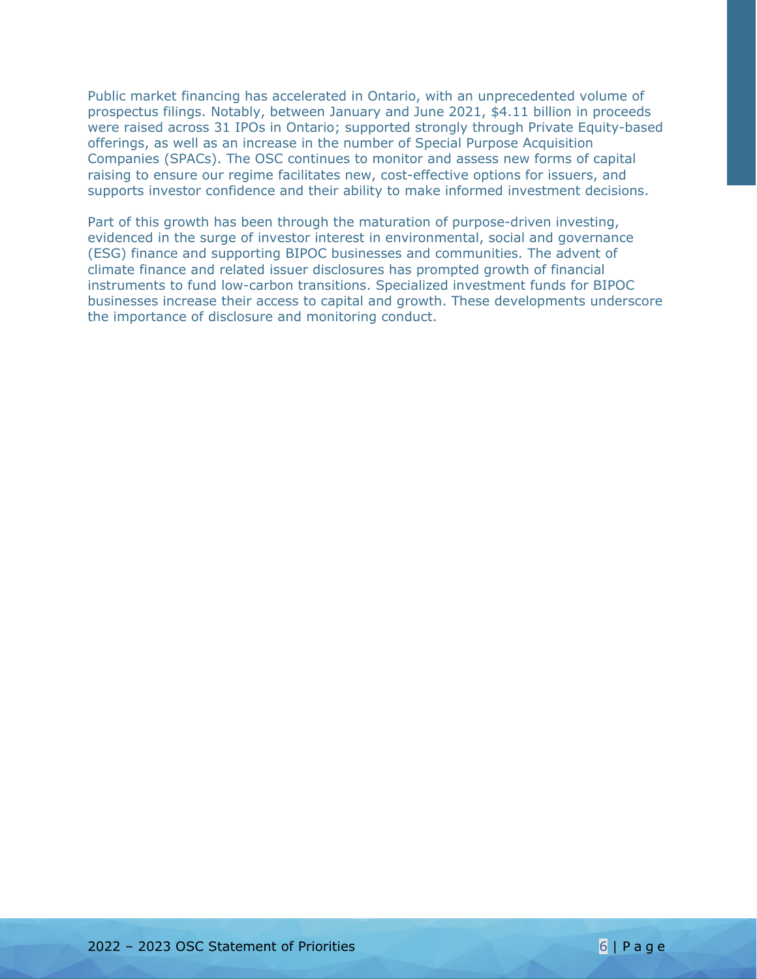Public market financing has accelerated in Ontario, with an unprecedented volume of prospectus filings. Notably, between January and June 2021, \$4.11 billion in proceeds were raised across 31 IPOs in Ontario; supported strongly through Private Equity-based offerings, as well as an increase in the number of Special Purpose Acquisition Companies (SPACs). The OSC continues to monitor and assess new forms of capital raising to ensure our regime facilitates new, cost-effective options for issuers, and supports investor confidence and their ability to make informed investment decisions.

Part of this growth has been through the maturation of purpose-driven investing, evidenced in the surge of investor interest in environmental, social and governance (ESG) finance and supporting BIPOC businesses and communities. The advent of climate finance and related issuer disclosures has prompted growth of financial instruments to fund low-carbon transitions. Specialized investment funds for BIPOC businesses increase their access to capital and growth. These developments underscore the importance of disclosure and monitoring conduct.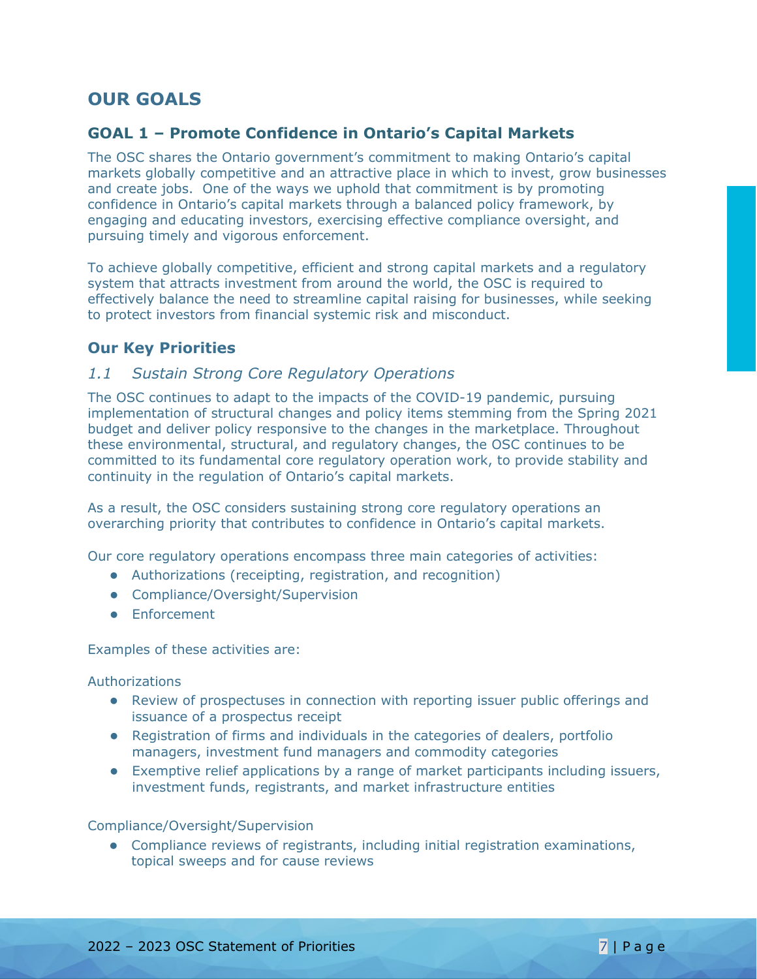## <span id="page-9-0"></span>**OUR GOALS**

#### <span id="page-9-1"></span>**GOAL 1 – Promote Confidence in Ontario's Capital Markets**

The OSC shares the Ontario government's commitment to making Ontario's capital markets globally competitive and an attractive place in which to invest, grow businesses and create jobs. One of the ways we uphold that commitment is by promoting confidence in Ontario's capital markets through a balanced policy framework, by engaging and educating investors, exercising effective compliance oversight, and pursuing timely and vigorous enforcement.

To achieve globally competitive, efficient and strong capital markets and a regulatory system that attracts investment from around the world, the OSC is required to effectively balance the need to streamline capital raising for businesses, while seeking to protect investors from financial systemic risk and misconduct.

#### **Our Key Priorities**

#### *1.1 Sustain Strong Core Regulatory Operations*

The OSC continues to adapt to the impacts of the COVID-19 pandemic, pursuing implementation of structural changes and policy items stemming from the Spring 2021 budget and deliver policy responsive to the changes in the marketplace. Throughout these environmental, structural, and regulatory changes, the OSC continues to be committed to its fundamental core regulatory operation work, to provide stability and continuity in the regulation of Ontario's capital markets.

As a result, the OSC considers sustaining strong core regulatory operations an overarching priority that contributes to confidence in Ontario's capital markets.

Our core regulatory operations encompass three main categories of activities:

- Authorizations (receipting, registration, and recognition)
- Compliance/Oversight/Supervision
- **•** Enforcement

Examples of these activities are:

**Authorizations** 

- Review of prospectuses in connection with reporting issuer public offerings and issuance of a prospectus receipt
- Registration of firms and individuals in the categories of dealers, portfolio managers, investment fund managers and commodity categories
- Exemptive relief applications by a range of market participants including issuers, investment funds, registrants, and market infrastructure entities

#### Compliance/Oversight/Supervision

 Compliance reviews of registrants, including initial registration examinations, topical sweeps and for cause reviews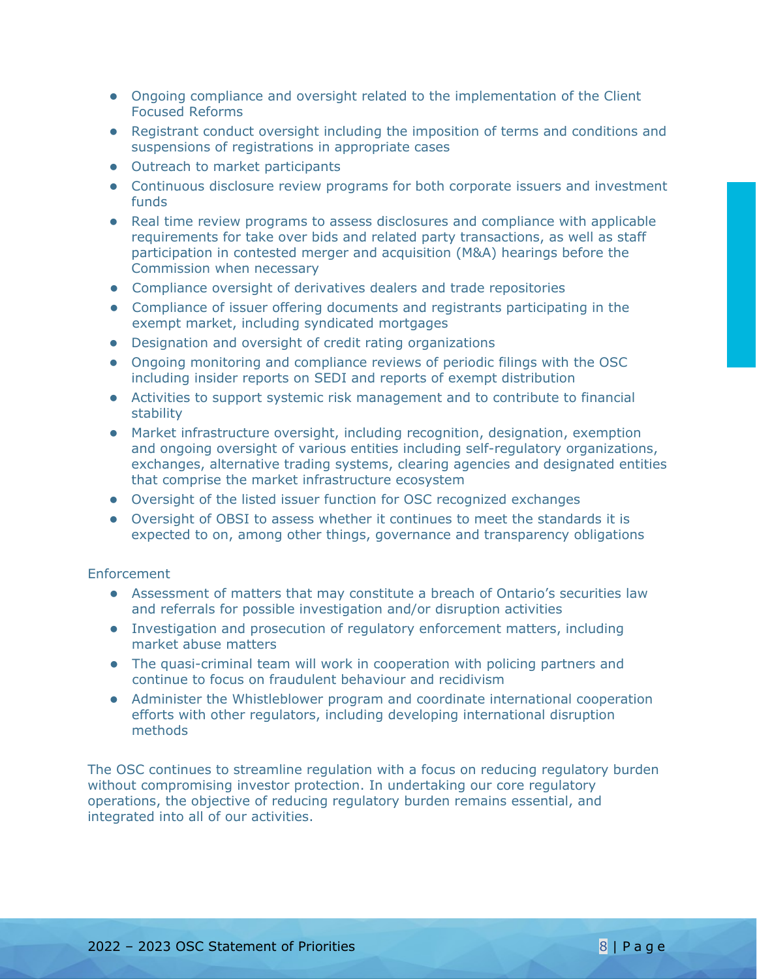- Ongoing compliance and oversight related to the implementation of the Client Focused Reforms
- Registrant conduct oversight including the imposition of terms and conditions and suspensions of registrations in appropriate cases
- Outreach to market participants
- Continuous disclosure review programs for both corporate issuers and investment funds
- Real time review programs to assess disclosures and compliance with applicable requirements for take over bids and related party transactions, as well as staff participation in contested merger and acquisition (M&A) hearings before the Commission when necessary
- Compliance oversight of derivatives dealers and trade repositories
- Compliance of issuer offering documents and registrants participating in the exempt market, including syndicated mortgages
- Designation and oversight of credit rating organizations
- Ongoing monitoring and compliance reviews of periodic filings with the OSC including insider reports on SEDI and reports of exempt distribution
- Activities to support systemic risk management and to contribute to financial stability
- Market infrastructure oversight, including recognition, designation, exemption and ongoing oversight of various entities including self-regulatory organizations, exchanges, alternative trading systems, clearing agencies and designated entities that comprise the market infrastructure ecosystem
- Oversight of the listed issuer function for OSC recognized exchanges
- Oversight of OBSI to assess whether it continues to meet the standards it is expected to on, among other things, governance and transparency obligations

#### Enforcement

- Assessment of matters that may constitute a breach of Ontario's securities law and referrals for possible investigation and/or disruption activities
- Investigation and prosecution of regulatory enforcement matters, including market abuse matters
- The quasi-criminal team will work in cooperation with policing partners and continue to focus on fraudulent behaviour and recidivism
- Administer the Whistleblower program and coordinate international cooperation efforts with other regulators, including developing international disruption methods

The OSC continues to streamline regulation with a focus on reducing regulatory burden without compromising investor protection. In undertaking our core regulatory operations, the objective of reducing regulatory burden remains essential, and integrated into all of our activities.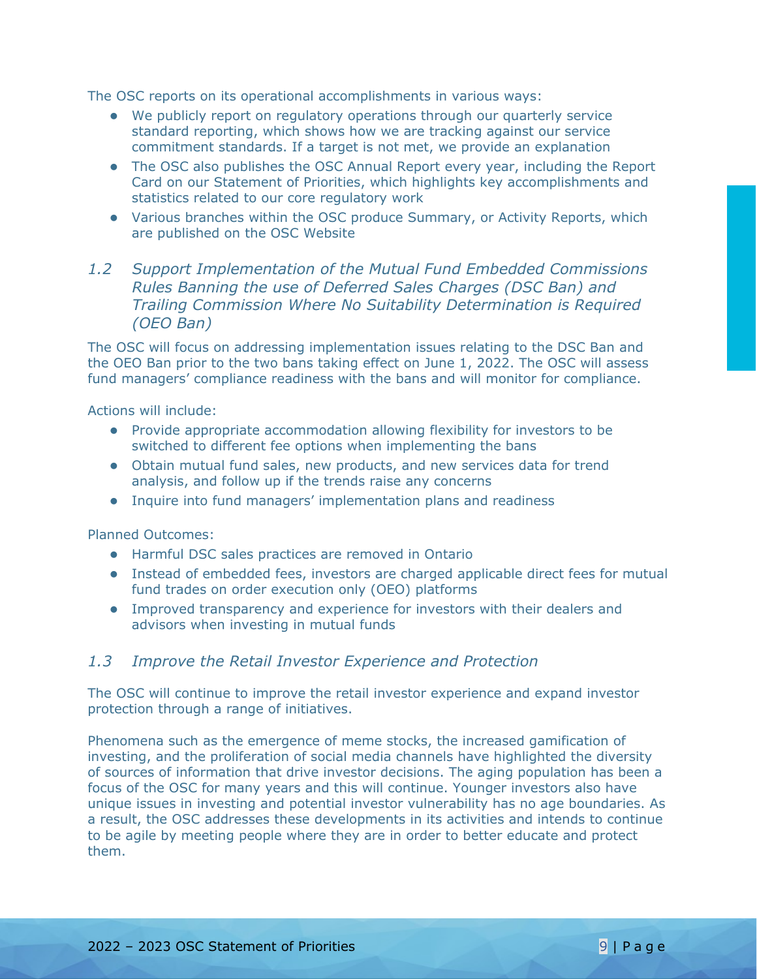The OSC reports on its operational accomplishments in various ways:

- We publicly report on regulatory operations through our quarterly service standard reporting, which shows how we are tracking against our service commitment standards. If a target is not met, we provide an explanation
- The OSC also publishes the OSC Annual Report every year, including the Report Card on our Statement of Priorities, which highlights key accomplishments and statistics related to our core regulatory work
- Various branches within the OSC produce Summary, or Activity Reports, which are published on the OSC Website

#### *1.2 Support Implementation of the Mutual Fund Embedded Commissions Rules Banning the use of Deferred Sales Charges (DSC Ban) and Trailing Commission Where No Suitability Determination is Required (OEO Ban)*

The OSC will focus on addressing implementation issues relating to the DSC Ban and the OEO Ban prior to the two bans taking effect on June 1, 2022. The OSC will assess fund managers' compliance readiness with the bans and will monitor for compliance.

Actions will include:

- Provide appropriate accommodation allowing flexibility for investors to be switched to different fee options when implementing the bans
- Obtain mutual fund sales, new products, and new services data for trend analysis, and follow up if the trends raise any concerns
- Inquire into fund managers' implementation plans and readiness

Planned Outcomes:

- Harmful DSC sales practices are removed in Ontario
- Instead of embedded fees, investors are charged applicable direct fees for mutual fund trades on order execution only (OEO) platforms
- Improved transparency and experience for investors with their dealers and advisors when investing in mutual funds

#### *1.3 Improve the Retail Investor Experience and Protection*

The OSC will continue to improve the retail investor experience and expand investor protection through a range of initiatives.

Phenomena such as the emergence of meme stocks, the increased gamification of investing, and the proliferation of social media channels have highlighted the diversity of sources of information that drive investor decisions. The aging population has been a focus of the OSC for many years and this will continue. Younger investors also have unique issues in investing and potential investor vulnerability has no age boundaries. As a result, the OSC addresses these developments in its activities and intends to continue to be agile by meeting people where they are in order to better educate and protect them.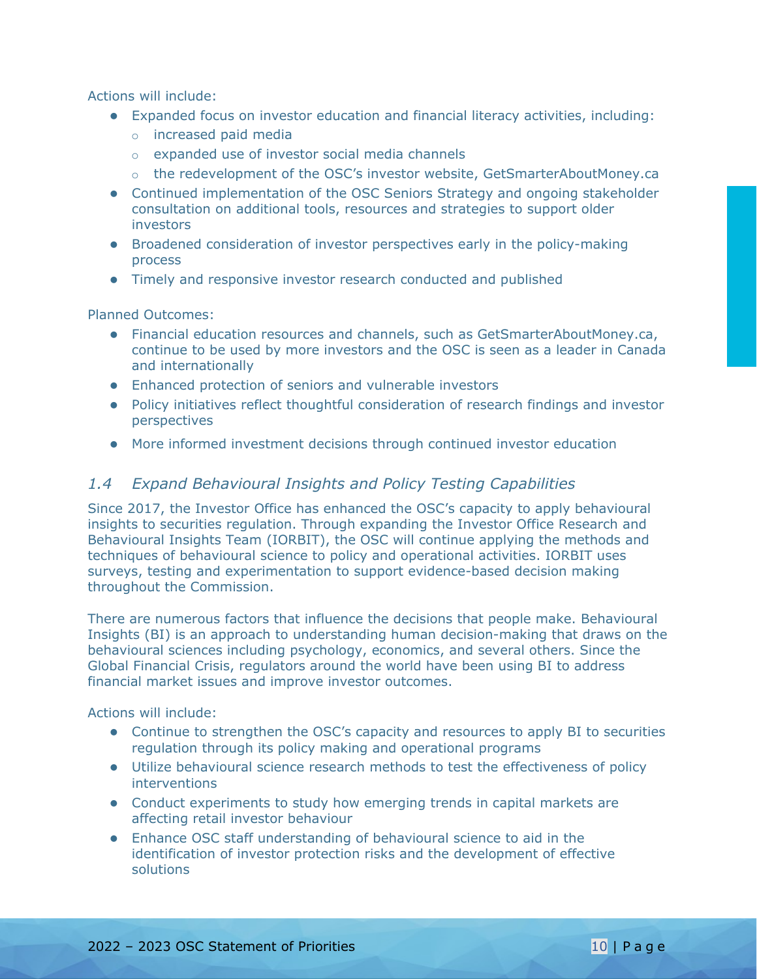Actions will include:

- Expanded focus on investor education and financial literacy activities, including:
	- o increased paid media
	- o expanded use of investor social media channels
	- o the redevelopment of the OSC's investor website, GetSmarterAboutMoney.ca
- Continued implementation of the OSC Seniors Strategy and ongoing stakeholder consultation on additional tools, resources and strategies to support older investors
- Broadened consideration of investor perspectives early in the policy-making process
- **•** Timely and responsive investor research conducted and published

Planned Outcomes:

- Financial education resources and channels, such as GetSmarterAboutMoney.ca, continue to be used by more investors and the OSC is seen as a leader in Canada and internationally
- Enhanced protection of seniors and vulnerable investors
- Policy initiatives reflect thoughtful consideration of research findings and investor perspectives
- More informed investment decisions through continued investor education

#### *1.4 Expand Behavioural Insights and Policy Testing Capabilities*

Since 2017, the Investor Office has enhanced the OSC's capacity to apply behavioural insights to securities regulation. Through expanding the Investor Office Research and Behavioural Insights Team (IORBIT), the OSC will continue applying the methods and techniques of behavioural science to policy and operational activities. IORBIT uses surveys, testing and experimentation to support evidence-based decision making throughout the Commission.

There are numerous factors that influence the decisions that people make. Behavioural Insights (BI) is an approach to understanding human decision-making that draws on the behavioural sciences including psychology, economics, and several others. Since the Global Financial Crisis, regulators around the world have been using BI to address financial market issues and improve investor outcomes.

Actions will include:

- Continue to strengthen the OSC's capacity and resources to apply BI to securities regulation through its policy making and operational programs
- Utilize behavioural science research methods to test the effectiveness of policy **interventions**
- Conduct experiments to study how emerging trends in capital markets are affecting retail investor behaviour
- Enhance OSC staff understanding of behavioural science to aid in the identification of investor protection risks and the development of effective solutions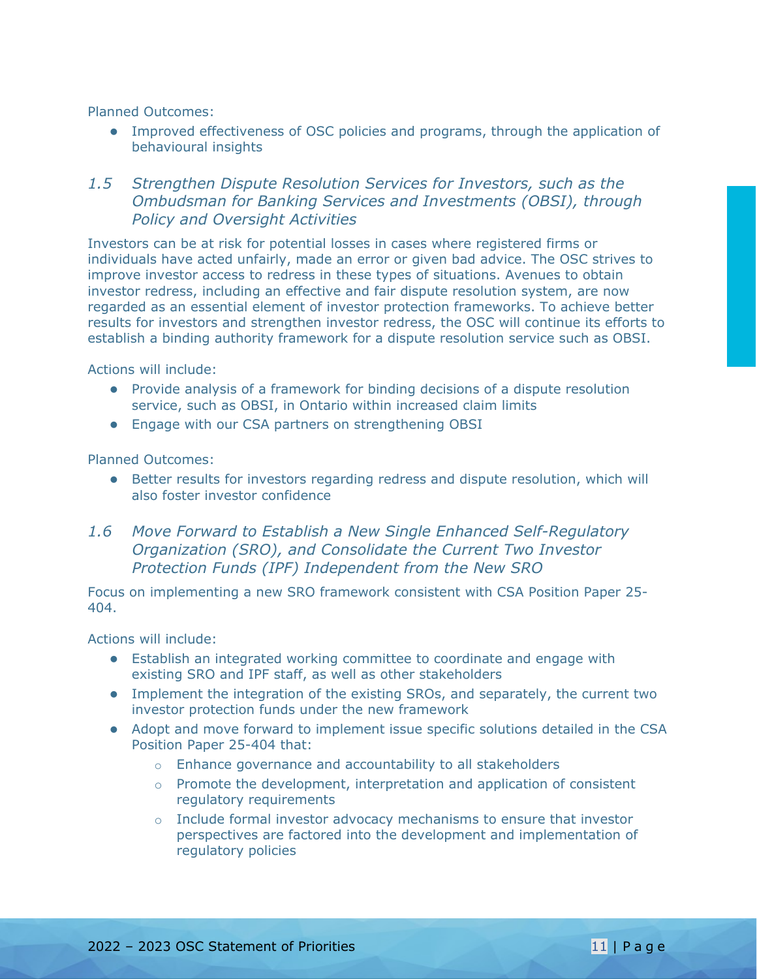Planned Outcomes:

- Improved effectiveness of OSC policies and programs, through the application of behavioural insights
- *1.5 Strengthen Dispute Resolution Services for Investors, such as the Ombudsman for Banking Services and Investments (OBSI), through Policy and Oversight Activities*

Investors can be at risk for potential losses in cases where registered firms or individuals have acted unfairly, made an error or given bad advice. The OSC strives to improve investor access to redress in these types of situations. Avenues to obtain investor redress, including an effective and fair dispute resolution system, are now regarded as an essential element of investor protection frameworks. To achieve better results for investors and strengthen investor redress, the OSC will continue its efforts to establish a binding authority framework for a dispute resolution service such as OBSI.

Actions will include:

- Provide analysis of a framework for binding decisions of a dispute resolution service, such as OBSI, in Ontario within increased claim limits
- Engage with our CSA partners on strengthening OBSI

Planned Outcomes:

- Better results for investors regarding redress and dispute resolution, which will also foster investor confidence
- *1.6 Move Forward to Establish a New Single Enhanced Self-Regulatory Organization (SRO), and Consolidate the Current Two Investor Protection Funds (IPF) Independent from the New SRO*

Focus on implementing a new SRO framework consistent with CSA Position Paper 25- 404.

Actions will include:

- Establish an integrated working committee to coordinate and engage with existing SRO and IPF staff, as well as other stakeholders
- Implement the integration of the existing SROs, and separately, the current two investor protection funds under the new framework
- Adopt and move forward to implement issue specific solutions detailed in the CSA Position Paper 25-404 that:
	- o Enhance governance and accountability to all stakeholders
	- $\circ$  Promote the development, interpretation and application of consistent regulatory requirements
	- $\circ$  Include formal investor advocacy mechanisms to ensure that investor perspectives are factored into the development and implementation of regulatory policies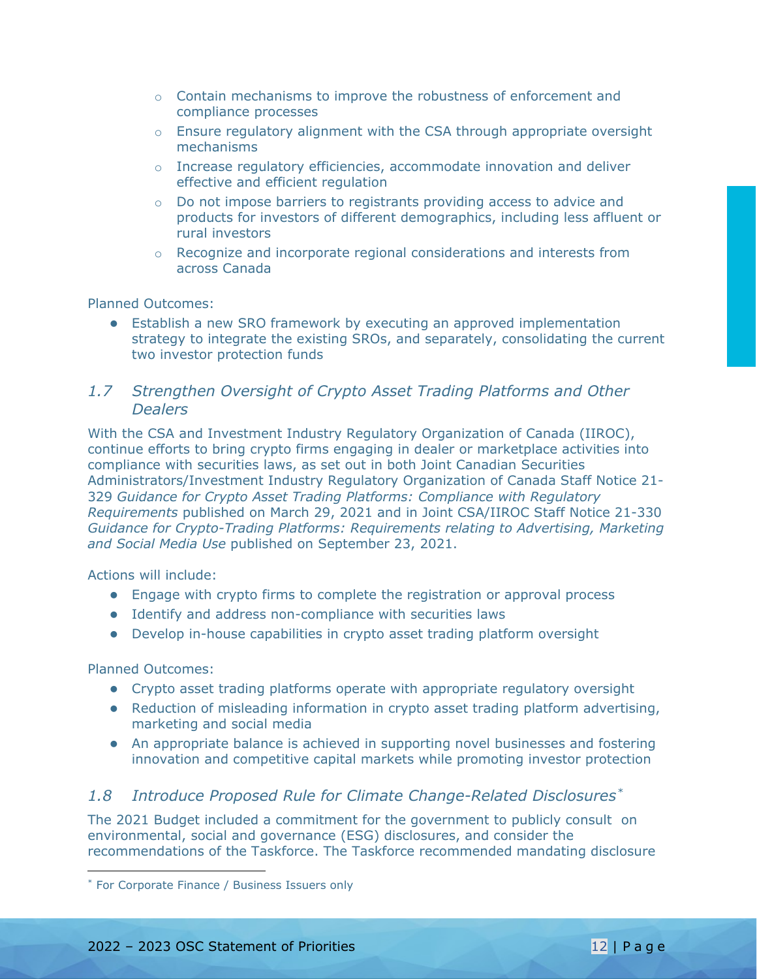- o Contain mechanisms to improve the robustness of enforcement and compliance processes
- $\circ$  Ensure regulatory alignment with the CSA through appropriate oversight mechanisms
- $\circ$  Increase regulatory efficiencies, accommodate innovation and deliver effective and efficient regulation
- $\circ$  Do not impose barriers to registrants providing access to advice and products for investors of different demographics, including less affluent or rural investors
- $\circ$  Recognize and incorporate regional considerations and interests from across Canada

Planned Outcomes:

 Establish a new SRO framework by executing an approved implementation strategy to integrate the existing SROs, and separately, consolidating the current two investor protection funds

#### *1.7 Strengthen Oversight of Crypto Asset Trading Platforms and Other Dealers*

With the CSA and Investment Industry Regulatory Organization of Canada (IIROC), continue efforts to bring crypto firms engaging in dealer or marketplace activities into compliance with securities laws, as set out in both Joint Canadian Securities Administrators/Investment Industry Regulatory Organization of Canada Staff Notice 21- 329 *Guidance for Crypto Asset Trading Platforms: Compliance with Regulatory Requirements* published on March 29, 2021 and in Joint CSA/IIROC Staff Notice 21-330 *Guidance for Crypto-Trading Platforms: Requirements relating to Advertising, Marketing and Social Media Use* published on September 23, 2021.

Actions will include:

- Engage with crypto firms to complete the registration or approval process
- Identify and address non-compliance with securities laws
- Develop in-house capabilities in crypto asset trading platform oversight

Planned Outcomes:

- Crypto asset trading platforms operate with appropriate regulatory oversight
- Reduction of misleading information in crypto asset trading platform advertising, marketing and social media
- An appropriate balance is achieved in supporting novel businesses and fostering innovation and competitive capital markets while promoting investor protection

#### *1.8 Introduce Proposed Rule for Climate Change-Related Disclosures[\\*](#page-14-0)*

The 2021 Budget included a commitment for the government to publicly consult on environmental, social and governance (ESG) disclosures, and consider the recommendations of the Taskforce. The Taskforce recommended mandating disclosure

<span id="page-14-0"></span><sup>\*</sup> For Corporate Finance / Business Issuers only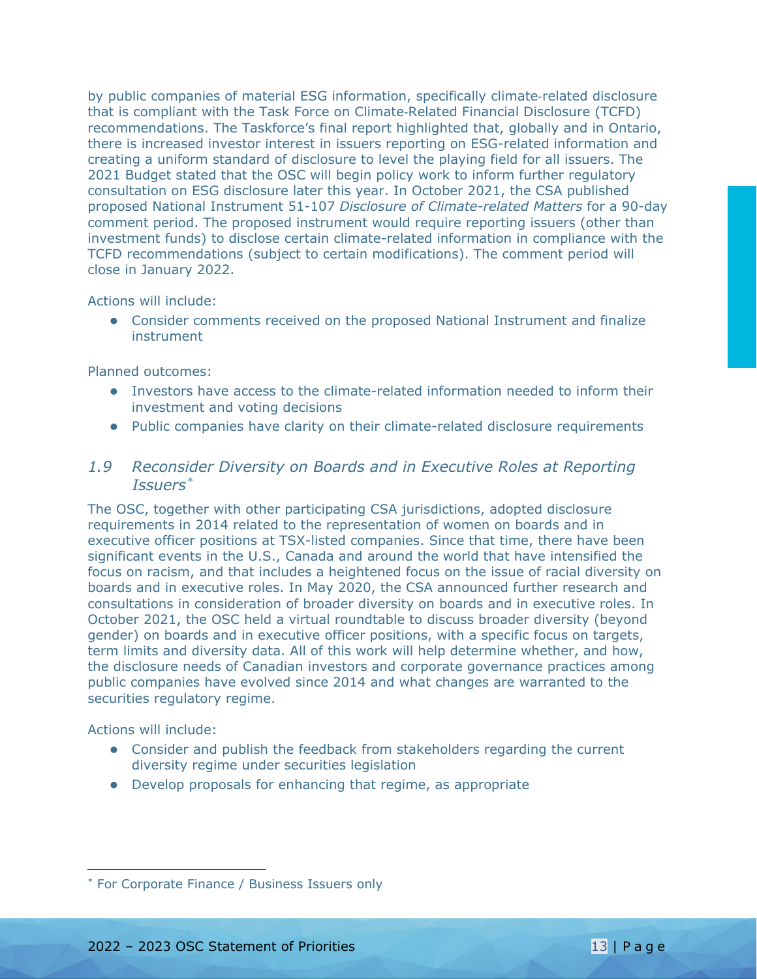by public companies of material ESG information, specifically climate‐related disclosure that is compliant with the Task Force on Climate‐Related Financial Disclosure (TCFD) recommendations. The Taskforce's final report highlighted that, globally and in Ontario, there is increased investor interest in issuers reporting on ESG-related information and creating a uniform standard of disclosure to level the playing field for all issuers. The 2021 Budget stated that the OSC will begin policy work to inform further regulatory consultation on ESG disclosure later this year. In October 2021, the CSA published proposed National Instrument 51-107 *Disclosure of Climate-related Matters* for a 90-day comment period. The proposed instrument would require reporting issuers (other than investment funds) to disclose certain climate-related information in compliance with the TCFD recommendations (subject to certain modifications). The comment period will close in January 2022.

Actions will include:

 Consider comments received on the proposed National Instrument and finalize instrument

Planned outcomes:

- Investors have access to the climate-related information needed to inform their investment and voting decisions
- Public companies have clarity on their climate-related disclosure requirements

#### *1.9 Reconsider Diversity on Boards and in Executive Roles at Reporting Issuers[\\*](#page-15-0)*

The OSC, together with other participating CSA jurisdictions, adopted disclosure requirements in 2014 related to the representation of women on boards and in executive officer positions at TSX-listed companies. Since that time, there have been significant events in the U.S., Canada and around the world that have intensified the focus on racism, and that includes a heightened focus on the issue of racial diversity on boards and in executive roles. In May 2020, the CSA announced further research and consultations in consideration of broader diversity on boards and in executive roles. In October 2021, the OSC held a virtual roundtable to discuss broader diversity (beyond gender) on boards and in executive officer positions, with a specific focus on targets, term limits and diversity data. All of this work will help determine whether, and how, the disclosure needs of Canadian investors and corporate governance practices among public companies have evolved since 2014 and what changes are warranted to the securities regulatory regime.

Actions will include:

- Consider and publish the feedback from stakeholders regarding the current diversity regime under securities legislation
- Develop proposals for enhancing that regime, as appropriate

<span id="page-15-0"></span>For Corporate Finance / Business Issuers only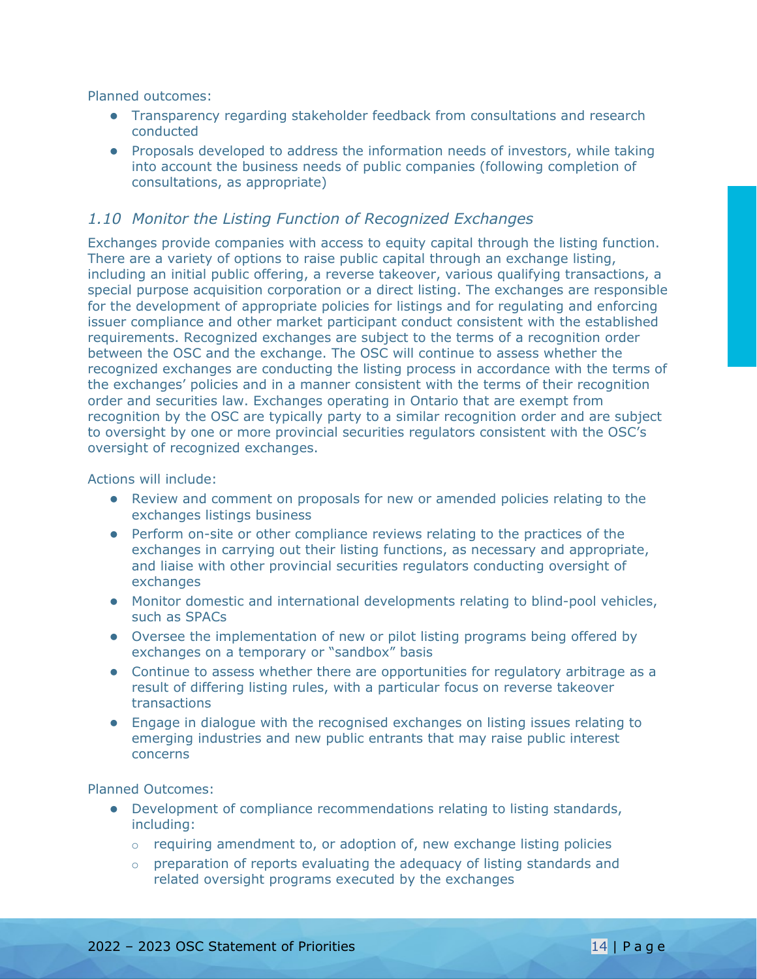Planned outcomes:

- Transparency regarding stakeholder feedback from consultations and research conducted
- Proposals developed to address the information needs of investors, while taking into account the business needs of public companies (following completion of consultations, as appropriate)

#### *1.10 Monitor the Listing Function of Recognized Exchanges*

Exchanges provide companies with access to equity capital through the listing function. There are a variety of options to raise public capital through an exchange listing, including an initial public offering, a reverse takeover, various qualifying transactions, a special purpose acquisition corporation or a direct listing. The exchanges are responsible for the development of appropriate policies for listings and for regulating and enforcing issuer compliance and other market participant conduct consistent with the established requirements. Recognized exchanges are subject to the terms of a recognition order between the OSC and the exchange. The OSC will continue to assess whether the recognized exchanges are conducting the listing process in accordance with the terms of the exchanges' policies and in a manner consistent with the terms of their recognition order and securities law. Exchanges operating in Ontario that are exempt from recognition by the OSC are typically party to a similar recognition order and are subject to oversight by one or more provincial securities regulators consistent with the OSC's oversight of recognized exchanges.

Actions will include:

- Review and comment on proposals for new or amended policies relating to the exchanges listings business
- Perform on-site or other compliance reviews relating to the practices of the exchanges in carrying out their listing functions, as necessary and appropriate, and liaise with other provincial securities regulators conducting oversight of exchanges
- Monitor domestic and international developments relating to blind-pool vehicles, such as SPACs
- Oversee the implementation of new or pilot listing programs being offered by exchanges on a temporary or "sandbox" basis
- Continue to assess whether there are opportunities for regulatory arbitrage as a result of differing listing rules, with a particular focus on reverse takeover transactions
- Engage in dialogue with the recognised exchanges on listing issues relating to emerging industries and new public entrants that may raise public interest concerns

- Development of compliance recommendations relating to listing standards, including:
	- $\circ$  requiring amendment to, or adoption of, new exchange listing policies
	- $\circ$  preparation of reports evaluating the adequacy of listing standards and related oversight programs executed by the exchanges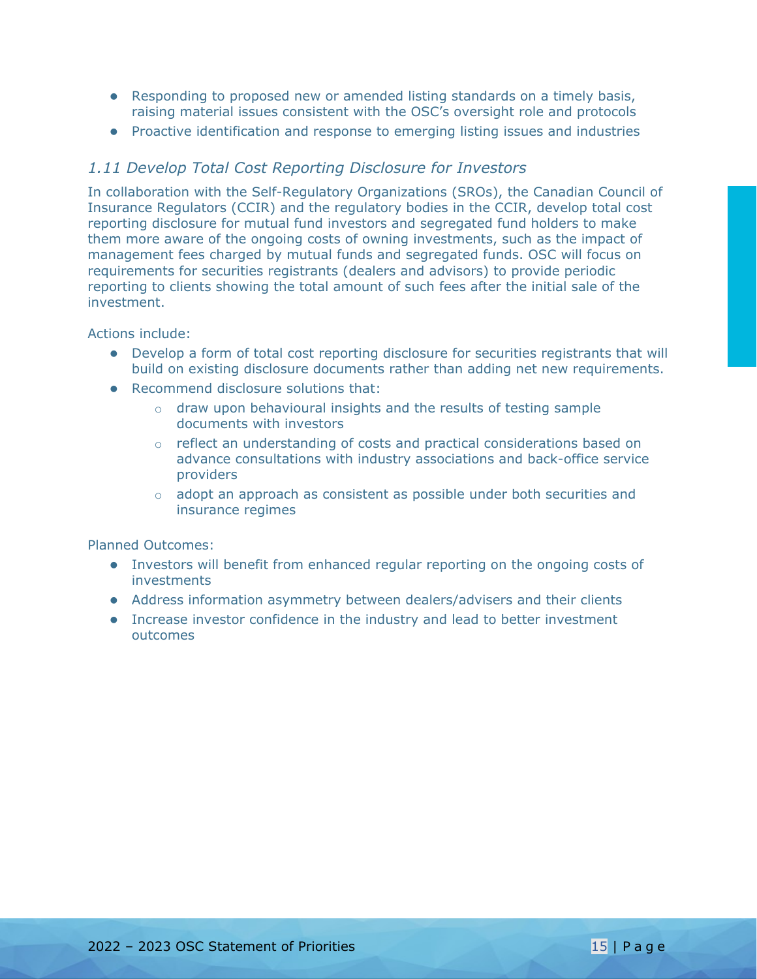- Responding to proposed new or amended listing standards on a timely basis, raising material issues consistent with the OSC's oversight role and protocols
- Proactive identification and response to emerging listing issues and industries

#### *1.11 Develop Total Cost Reporting Disclosure for Investors*

In collaboration with the Self-Regulatory Organizations (SROs), the Canadian Council of Insurance Regulators (CCIR) and the regulatory bodies in the CCIR, develop total cost reporting disclosure for mutual fund investors and segregated fund holders to make them more aware of the ongoing costs of owning investments, such as the impact of management fees charged by mutual funds and segregated funds. OSC will focus on requirements for securities registrants (dealers and advisors) to provide periodic reporting to clients showing the total amount of such fees after the initial sale of the investment.

Actions include:

- Develop a form of total cost reporting disclosure for securities registrants that will build on existing disclosure documents rather than adding net new requirements.
- Recommend disclosure solutions that:
	- o draw upon behavioural insights and the results of testing sample documents with investors
	- o reflect an understanding of costs and practical considerations based on advance consultations with industry associations and back-office service providers
	- $\circ$  adopt an approach as consistent as possible under both securities and insurance regimes

- Investors will benefit from enhanced regular reporting on the ongoing costs of **investments**
- Address information asymmetry between dealers/advisers and their clients
- Increase investor confidence in the industry and lead to better investment outcomes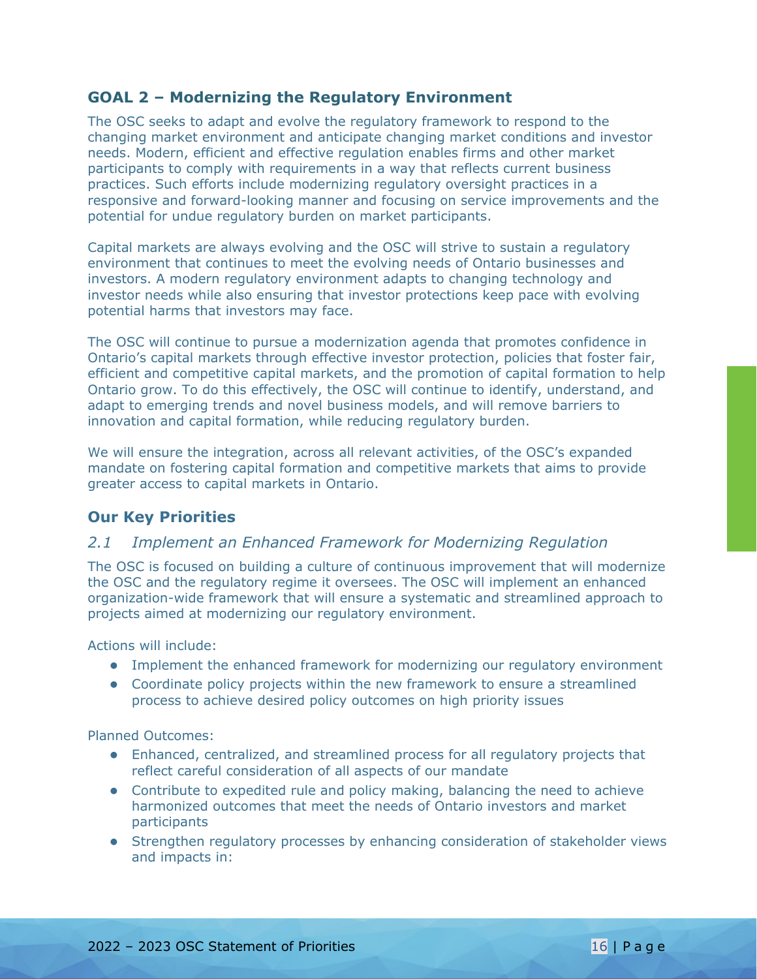#### <span id="page-18-0"></span>**GOAL 2 – Modernizing the Regulatory Environment**

The OSC seeks to adapt and evolve the regulatory framework to respond to the changing market environment and anticipate changing market conditions and investor needs. Modern, efficient and effective regulation enables firms and other market participants to comply with requirements in a way that reflects current business practices. Such efforts include modernizing regulatory oversight practices in a responsive and forward-looking manner and focusing on service improvements and the potential for undue regulatory burden on market participants.

Capital markets are always evolving and the OSC will strive to sustain a regulatory environment that continues to meet the evolving needs of Ontario businesses and investors. A modern regulatory environment adapts to changing technology and investor needs while also ensuring that investor protections keep pace with evolving potential harms that investors may face.

The OSC will continue to pursue a modernization agenda that promotes confidence in Ontario's capital markets through effective investor protection, policies that foster fair, efficient and competitive capital markets, and the promotion of capital formation to help Ontario grow. To do this effectively, the OSC will continue to identify, understand, and adapt to emerging trends and novel business models, and will remove barriers to innovation and capital formation, while reducing regulatory burden.

We will ensure the integration, across all relevant activities, of the OSC's expanded mandate on fostering capital formation and competitive markets that aims to provide greater access to capital markets in Ontario.

#### **Our Key Priorities**

#### *2.1 Implement an Enhanced Framework for Modernizing Regulation*

The OSC is focused on building a culture of continuous improvement that will modernize the OSC and the regulatory regime it oversees. The OSC will implement an enhanced organization-wide framework that will ensure a systematic and streamlined approach to projects aimed at modernizing our regulatory environment.

Actions will include:

- Implement the enhanced framework for modernizing our regulatory environment
- Coordinate policy projects within the new framework to ensure a streamlined process to achieve desired policy outcomes on high priority issues

- Enhanced, centralized, and streamlined process for all regulatory projects that reflect careful consideration of all aspects of our mandate
- Contribute to expedited rule and policy making, balancing the need to achieve harmonized outcomes that meet the needs of Ontario investors and market participants
- Strengthen regulatory processes by enhancing consideration of stakeholder views and impacts in: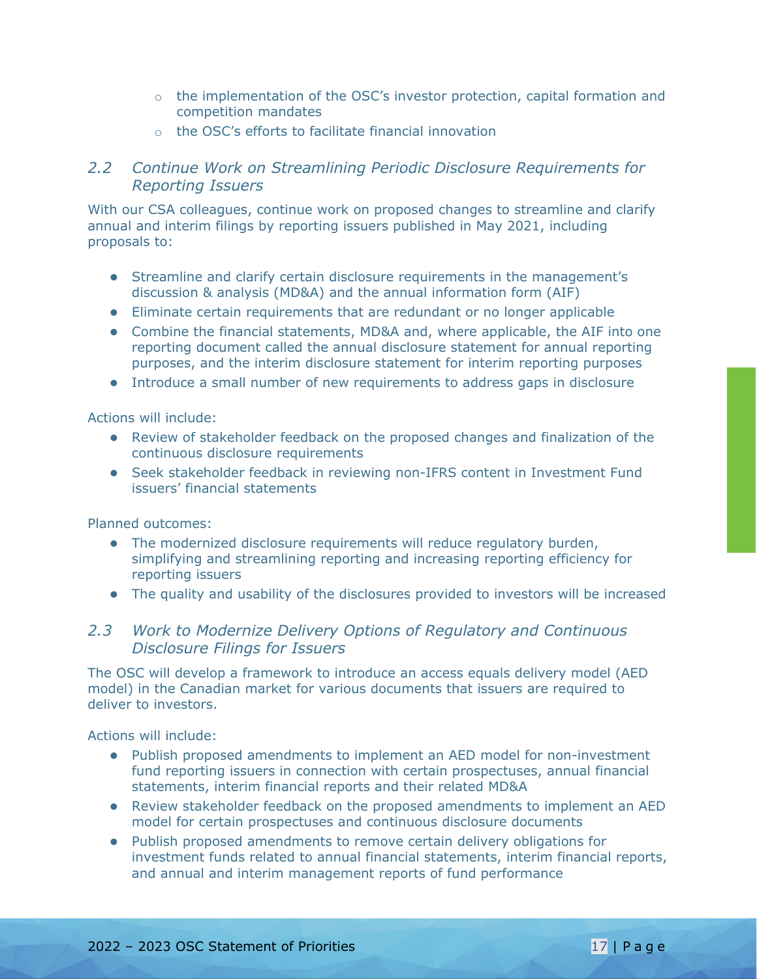- $\circ$  the implementation of the OSC's investor protection, capital formation and competition mandates
- o the OSC's efforts to facilitate financial innovation

#### *2.2 Continue Work on Streamlining Periodic Disclosure Requirements for Reporting Issuers*

With our CSA colleagues, continue work on proposed changes to streamline and clarify annual and interim filings by reporting issuers published in May 2021, including proposals to:

- Streamline and clarify certain disclosure requirements in the management's discussion & analysis (MD&A) and the annual information form (AIF)
- Eliminate certain requirements that are redundant or no longer applicable
- Combine the financial statements, MD&A and, where applicable, the AIF into one reporting document called the annual disclosure statement for annual reporting purposes, and the interim disclosure statement for interim reporting purposes
- Introduce a small number of new requirements to address gaps in disclosure

Actions will include:

- Review of stakeholder feedback on the proposed changes and finalization of the continuous disclosure requirements
- Seek stakeholder feedback in reviewing non-IFRS content in Investment Fund issuers' financial statements

Planned outcomes:

- The modernized disclosure requirements will reduce regulatory burden, simplifying and streamlining reporting and increasing reporting efficiency for reporting issuers
- The quality and usability of the disclosures provided to investors will be increased

#### *2.3 Work to Modernize Delivery Options of Regulatory and Continuous Disclosure Filings for Issuers*

The OSC will develop a framework to introduce an access equals delivery model (AED model) in the Canadian market for various documents that issuers are required to deliver to investors.

Actions will include:

- Publish proposed amendments to implement an AED model for non-investment fund reporting issuers in connection with certain prospectuses, annual financial statements, interim financial reports and their related MD&A
- Review stakeholder feedback on the proposed amendments to implement an AED model for certain prospectuses and continuous disclosure documents
- Publish proposed amendments to remove certain delivery obligations for investment funds related to annual financial statements, interim financial reports, and annual and interim management reports of fund performance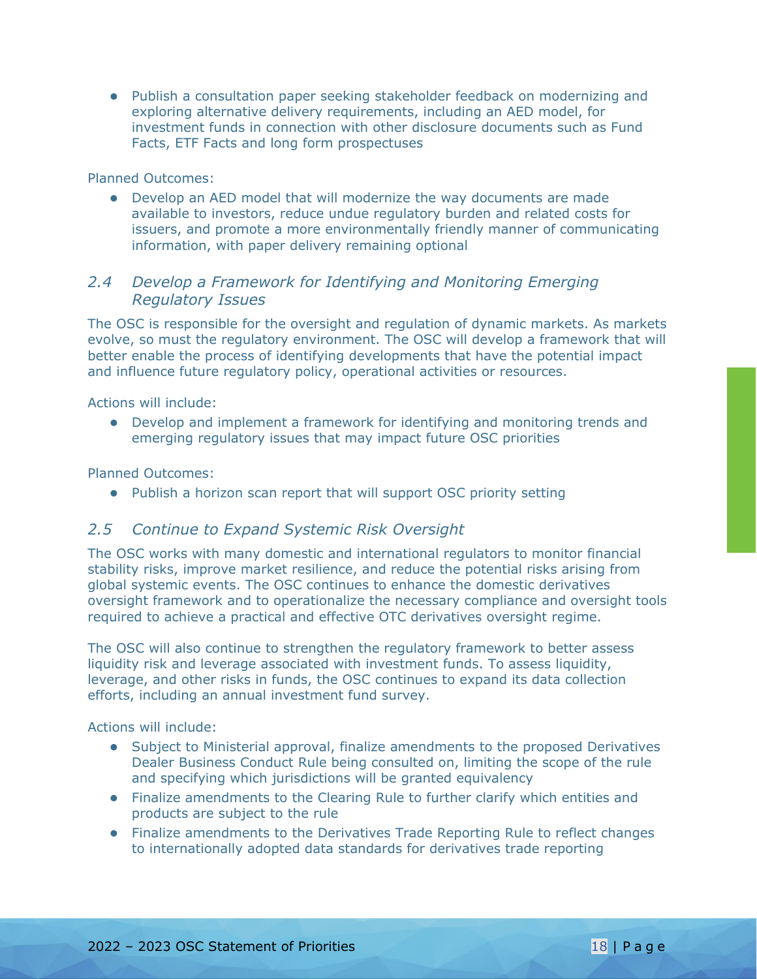Publish a consultation paper seeking stakeholder feedback on modernizing and exploring alternative delivery requirements, including an AED model, for investment funds in connection with other disclosure documents such as Fund Facts, ETF Facts and long form prospectuses

#### Planned Outcomes:

 Develop an AED model that will modernize the way documents are made available to investors, reduce undue regulatory burden and related costs for issuers, and promote a more environmentally friendly manner of communicating information, with paper delivery remaining optional

#### *2.4 Develop a Framework for Identifying and Monitoring Emerging Regulatory Issues*

The OSC is responsible for the oversight and regulation of dynamic markets. As markets evolve, so must the regulatory environment. The OSC will develop a framework that will better enable the process of identifying developments that have the potential impact and influence future regulatory policy, operational activities or resources.

Actions will include:

 Develop and implement a framework for identifying and monitoring trends and emerging regulatory issues that may impact future OSC priorities

Planned Outcomes:

• Publish a horizon scan report that will support OSC priority setting

#### *2.5 Continue to Expand Systemic Risk Oversight*

The OSC works with many domestic and international regulators to monitor financial stability risks, improve market resilience, and reduce the potential risks arising from global systemic events. The OSC continues to enhance the domestic derivatives oversight framework and to operationalize the necessary compliance and oversight tools required to achieve a practical and effective OTC derivatives oversight regime.

The OSC will also continue to strengthen the regulatory framework to better assess liquidity risk and leverage associated with investment funds. To assess liquidity, leverage, and other risks in funds, the OSC continues to expand its data collection efforts, including an annual investment fund survey.

Actions will include:

- Subject to Ministerial approval, finalize amendments to the proposed Derivatives Dealer Business Conduct Rule being consulted on, limiting the scope of the rule and specifying which jurisdictions will be granted equivalency
- Finalize amendments to the Clearing Rule to further clarify which entities and products are subject to the rule
- Finalize amendments to the Derivatives Trade Reporting Rule to reflect changes to internationally adopted data standards for derivatives trade reporting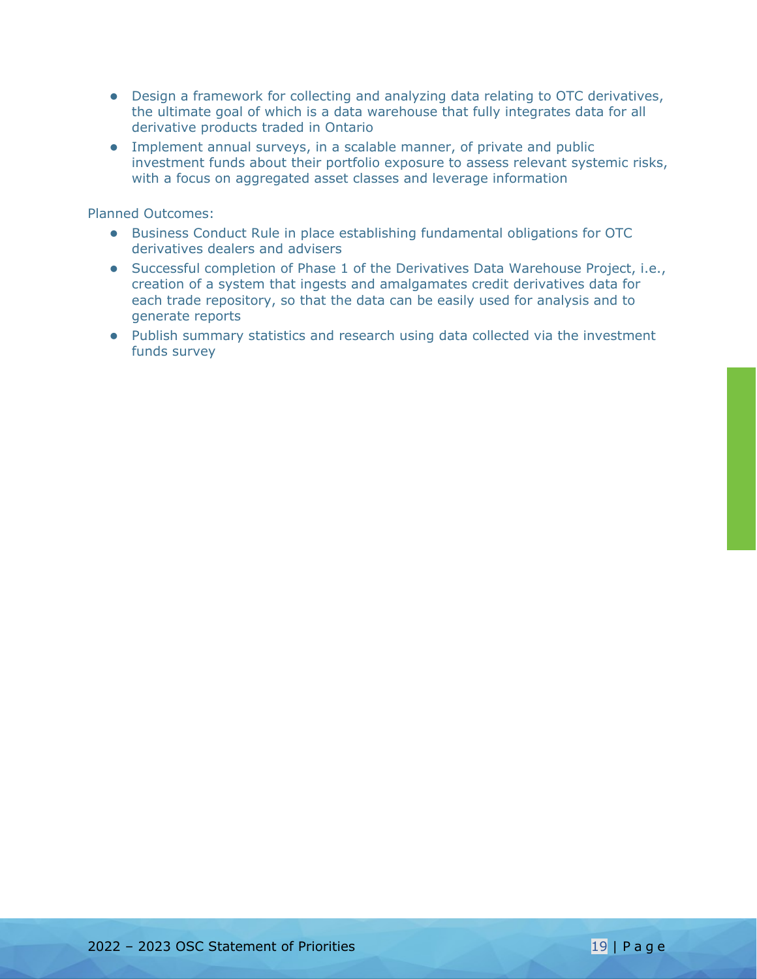- Design a framework for collecting and analyzing data relating to OTC derivatives, the ultimate goal of which is a data warehouse that fully integrates data for all derivative products traded in Ontario
- Implement annual surveys, in a scalable manner, of private and public investment funds about their portfolio exposure to assess relevant systemic risks, with a focus on aggregated asset classes and leverage information

- Business Conduct Rule in place establishing fundamental obligations for OTC derivatives dealers and advisers
- Successful completion of Phase 1 of the Derivatives Data Warehouse Project, i.e., creation of a system that ingests and amalgamates credit derivatives data for each trade repository, so that the data can be easily used for analysis and to generate reports
- Publish summary statistics and research using data collected via the investment funds survey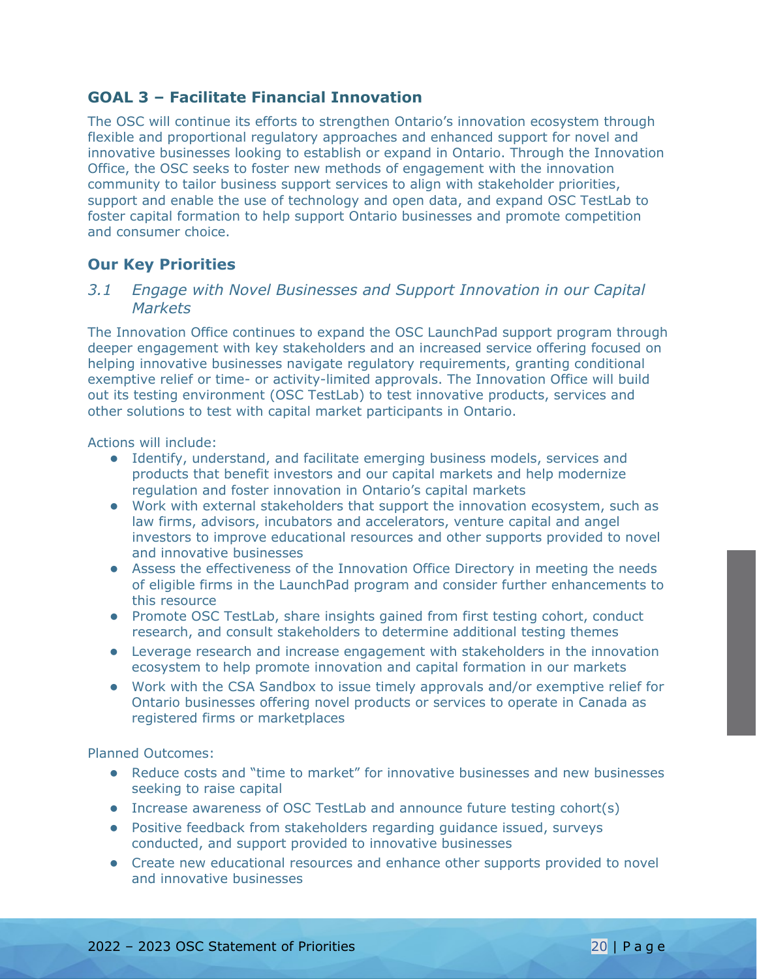#### <span id="page-22-0"></span>**GOAL 3 – Facilitate Financial Innovation**

The OSC will continue its efforts to strengthen Ontario's innovation ecosystem through flexible and proportional regulatory approaches and enhanced support for novel and innovative businesses looking to establish or expand in Ontario. Through the Innovation Office, the OSC seeks to foster new methods of engagement with the innovation community to tailor business support services to align with stakeholder priorities, support and enable the use of technology and open data, and expand OSC TestLab to foster capital formation to help support Ontario businesses and promote competition and consumer choice.

#### **Our Key Priorities**

#### *3.1 Engage with Novel Businesses and Support Innovation in our Capital Markets*

The Innovation Office continues to expand the OSC LaunchPad support program through deeper engagement with key stakeholders and an increased service offering focused on helping innovative businesses navigate regulatory requirements, granting conditional exemptive relief or time- or activity-limited approvals. The Innovation Office will build out its testing environment (OSC TestLab) to test innovative products, services and other solutions to test with capital market participants in Ontario.

Actions will include:

- Identify, understand, and facilitate emerging business models, services and products that benefit investors and our capital markets and help modernize regulation and foster innovation in Ontario's capital markets
- Work with external stakeholders that support the innovation ecosystem, such as law firms, advisors, incubators and accelerators, venture capital and angel investors to improve educational resources and other supports provided to novel and innovative businesses
- Assess the effectiveness of the Innovation Office Directory in meeting the needs of eligible firms in the LaunchPad program and consider further enhancements to this resource
- Promote OSC TestLab, share insights gained from first testing cohort, conduct research, and consult stakeholders to determine additional testing themes
- Leverage research and increase engagement with stakeholders in the innovation ecosystem to help promote innovation and capital formation in our markets
- Work with the CSA Sandbox to issue timely approvals and/or exemptive relief for Ontario businesses offering novel products or services to operate in Canada as registered firms or marketplaces

- Reduce costs and "time to market" for innovative businesses and new businesses seeking to raise capital
- Increase awareness of OSC TestLab and announce future testing cohort(s)
- Positive feedback from stakeholders regarding guidance issued, surveys conducted, and support provided to innovative businesses
- Create new educational resources and enhance other supports provided to novel and innovative businesses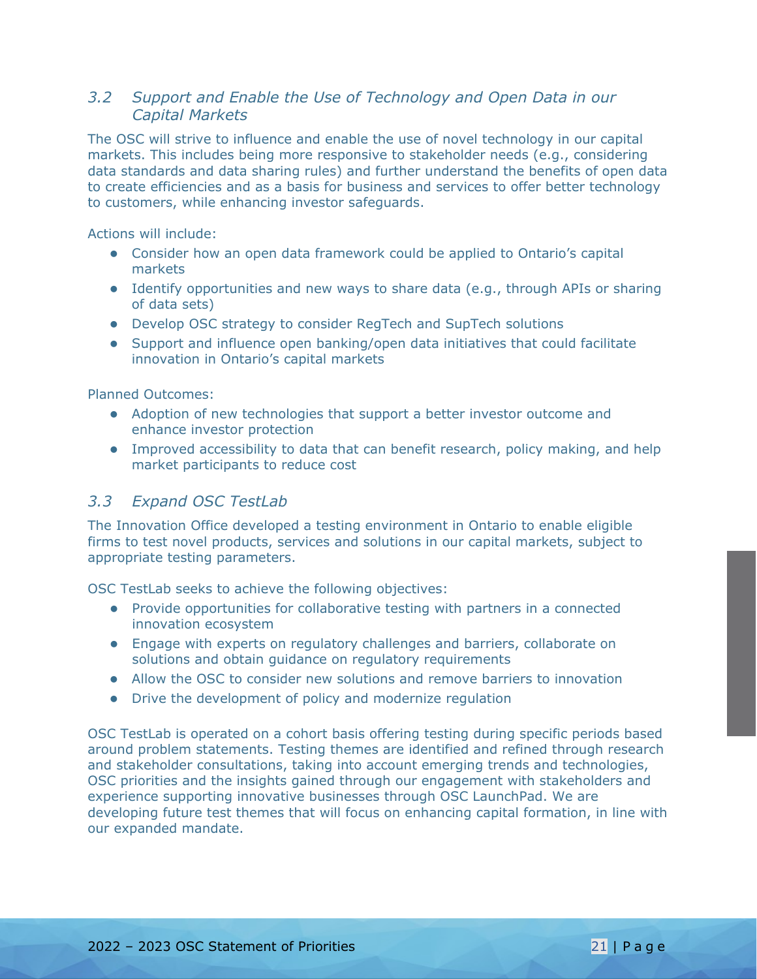#### *3.2 Support and Enable the Use of Technology and Open Data in our Capital Markets*

The OSC will strive to influence and enable the use of novel technology in our capital markets. This includes being more responsive to stakeholder needs (e.g., considering data standards and data sharing rules) and further understand the benefits of open data to create efficiencies and as a basis for business and services to offer better technology to customers, while enhancing investor safeguards.

Actions will include:

- Consider how an open data framework could be applied to Ontario's capital markets
- Identify opportunities and new ways to share data (e.g., through APIs or sharing of data sets)
- Develop OSC strategy to consider RegTech and SupTech solutions
- Support and influence open banking/open data initiatives that could facilitate innovation in Ontario's capital markets

Planned Outcomes:

- Adoption of new technologies that support a better investor outcome and enhance investor protection
- Improved accessibility to data that can benefit research, policy making, and help market participants to reduce cost

#### *3.3 Expand OSC TestLab*

The Innovation Office developed a testing environment in Ontario to enable eligible firms to test novel products, services and solutions in our capital markets, subject to appropriate testing parameters.

OSC TestLab seeks to achieve the following objectives:

- Provide opportunities for collaborative testing with partners in a connected innovation ecosystem
- Engage with experts on regulatory challenges and barriers, collaborate on solutions and obtain guidance on regulatory requirements
- Allow the OSC to consider new solutions and remove barriers to innovation
- Drive the development of policy and modernize regulation

OSC TestLab is operated on a cohort basis offering testing during specific periods based around problem statements. Testing themes are identified and refined through research and stakeholder consultations, taking into account emerging trends and technologies, OSC priorities and the insights gained through our engagement with stakeholders and experience supporting innovative businesses through OSC LaunchPad. We are developing future test themes that will focus on enhancing capital formation, in line with our expanded mandate.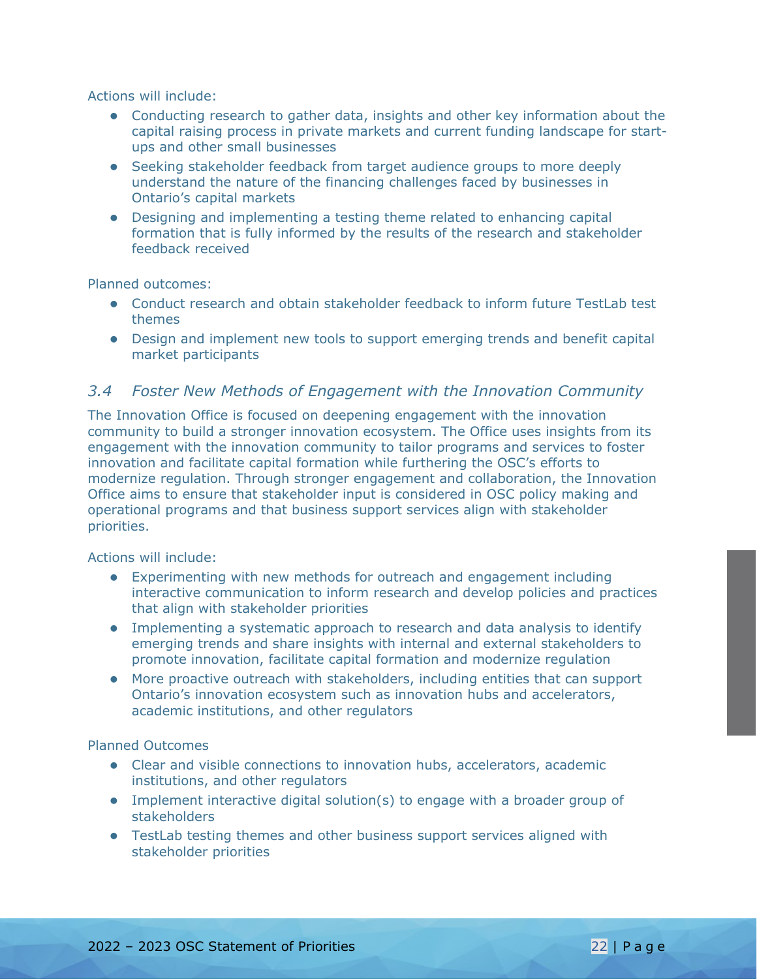Actions will include:

- Conducting research to gather data, insights and other key information about the capital raising process in private markets and current funding landscape for startups and other small businesses
- Seeking stakeholder feedback from target audience groups to more deeply understand the nature of the financing challenges faced by businesses in Ontario's capital markets
- Designing and implementing a testing theme related to enhancing capital formation that is fully informed by the results of the research and stakeholder feedback received

Planned outcomes:

- Conduct research and obtain stakeholder feedback to inform future TestLab test themes
- Design and implement new tools to support emerging trends and benefit capital market participants

#### *3.4 Foster New Methods of Engagement with the Innovation Community*

The Innovation Office is focused on deepening engagement with the innovation community to build a stronger innovation ecosystem. The Office uses insights from its engagement with the innovation community to tailor programs and services to foster innovation and facilitate capital formation while furthering the OSC's efforts to modernize regulation. Through stronger engagement and collaboration, the Innovation Office aims to ensure that stakeholder input is considered in OSC policy making and operational programs and that business support services align with stakeholder priorities.

Actions will include:

- Experimenting with new methods for outreach and engagement including interactive communication to inform research and develop policies and practices that align with stakeholder priorities
- Implementing a systematic approach to research and data analysis to identify emerging trends and share insights with internal and external stakeholders to promote innovation, facilitate capital formation and modernize regulation
- More proactive outreach with stakeholders, including entities that can support Ontario's innovation ecosystem such as innovation hubs and accelerators, academic institutions, and other regulators

- Clear and visible connections to innovation hubs, accelerators, academic institutions, and other regulators
- Implement interactive digital solution(s) to engage with a broader group of stakeholders
- TestLab testing themes and other business support services aligned with stakeholder priorities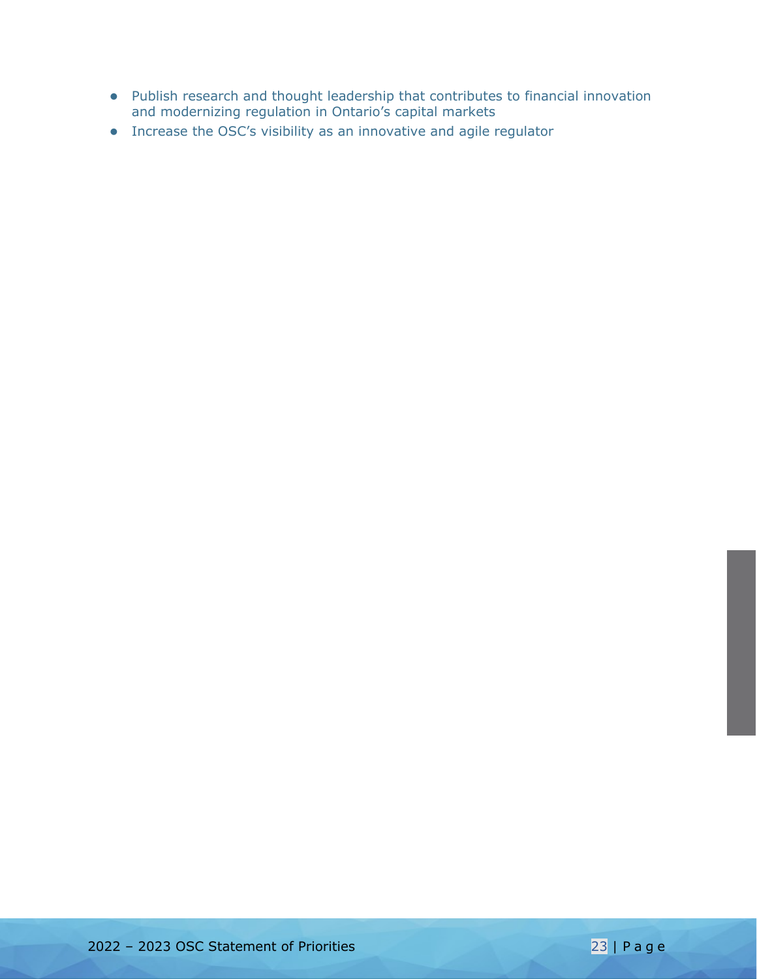- Publish research and thought leadership that contributes to financial innovation and modernizing regulation in Ontario's capital markets
- Increase the OSC's visibility as an innovative and agile regulator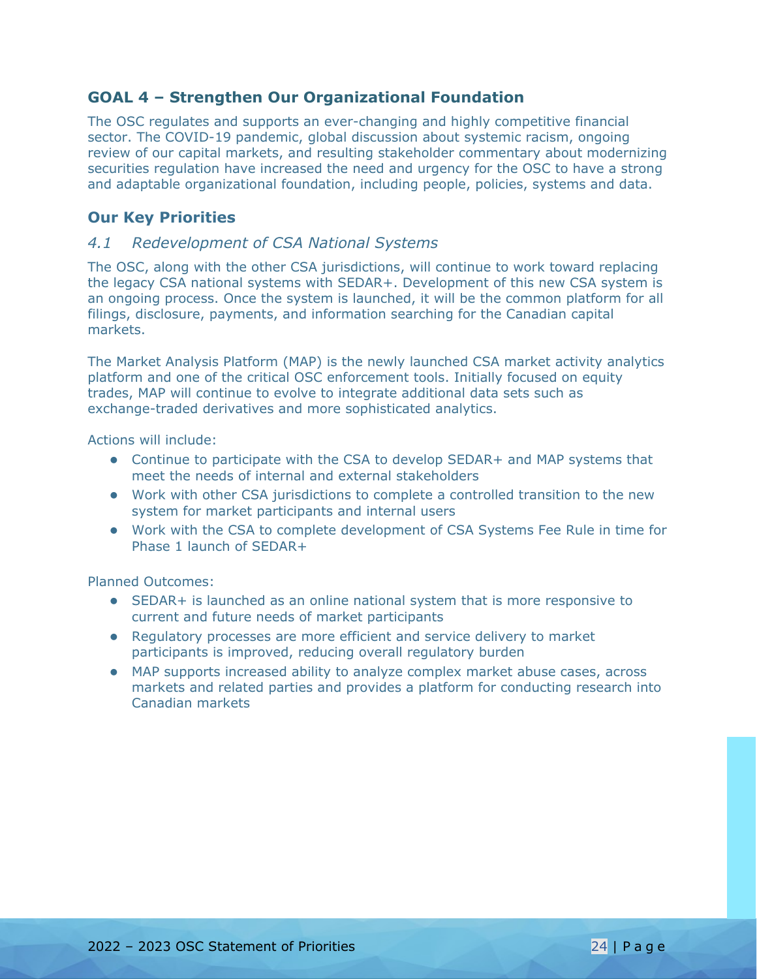#### <span id="page-26-0"></span>**GOAL 4 – Strengthen Our Organizational Foundation**

The OSC regulates and supports an ever-changing and highly competitive financial sector. The COVID-19 pandemic, global discussion about systemic racism, ongoing review of our capital markets, and resulting stakeholder commentary about modernizing securities regulation have increased the need and urgency for the OSC to have a strong and adaptable organizational foundation, including people, policies, systems and data.

#### **Our Key Priorities**

#### *4.1 Redevelopment of CSA National Systems*

The OSC, along with the other CSA jurisdictions, will continue to work toward replacing the legacy CSA national systems with SEDAR+. Development of this new CSA system is an ongoing process. Once the system is launched, it will be the common platform for all filings, disclosure, payments, and information searching for the Canadian capital markets.

The Market Analysis Platform (MAP) is the newly launched CSA market activity analytics platform and one of the critical OSC enforcement tools. Initially focused on equity trades, MAP will continue to evolve to integrate additional data sets such as exchange-traded derivatives and more sophisticated analytics.

Actions will include:

- Continue to participate with the CSA to develop SEDAR+ and MAP systems that meet the needs of internal and external stakeholders
- Work with other CSA jurisdictions to complete a controlled transition to the new system for market participants and internal users
- Work with the CSA to complete development of CSA Systems Fee Rule in time for Phase 1 launch of SEDAR+

- SEDAR+ is launched as an online national system that is more responsive to current and future needs of market participants
- Regulatory processes are more efficient and service delivery to market participants is improved, reducing overall regulatory burden
- MAP supports increased ability to analyze complex market abuse cases, across markets and related parties and provides a platform for conducting research into Canadian markets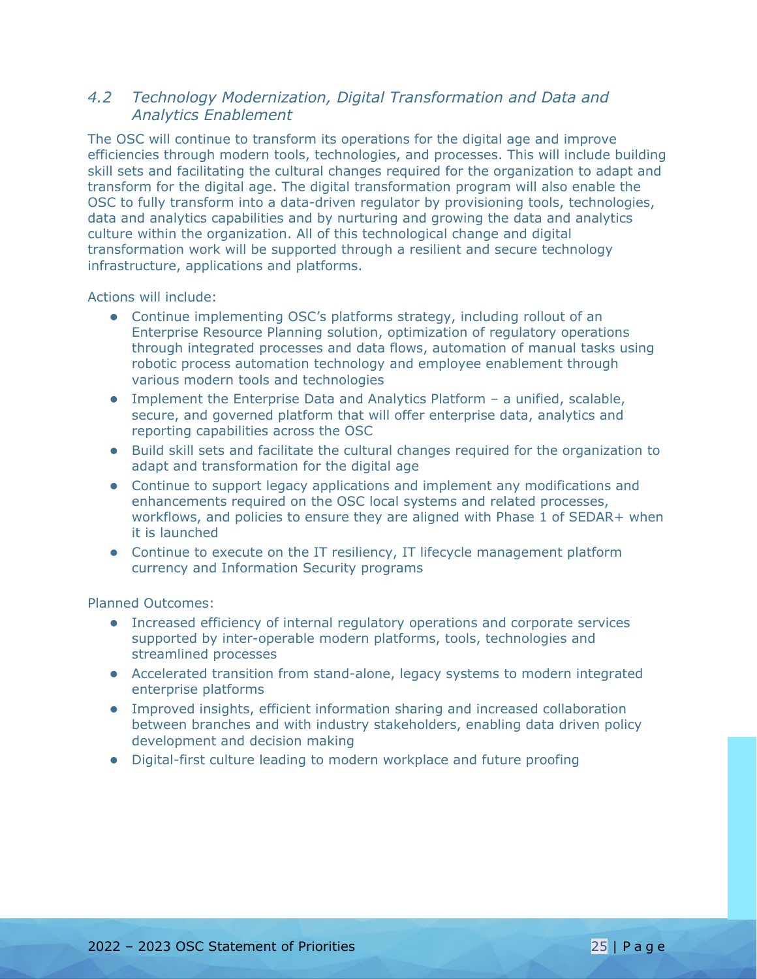#### *4.2 Technology Modernization, Digital Transformation and Data and Analytics Enablement*

The OSC will continue to transform its operations for the digital age and improve efficiencies through modern tools, technologies, and processes. This will include building skill sets and facilitating the cultural changes required for the organization to adapt and transform for the digital age. The digital transformation program will also enable the OSC to fully transform into a data-driven regulator by provisioning tools, technologies, data and analytics capabilities and by nurturing and growing the data and analytics culture within the organization. All of this technological change and digital transformation work will be supported through a resilient and secure technology infrastructure, applications and platforms.

Actions will include:

- Continue implementing OSC's platforms strategy, including rollout of an Enterprise Resource Planning solution, optimization of regulatory operations through integrated processes and data flows, automation of manual tasks using robotic process automation technology and employee enablement through various modern tools and technologies
- Implement the Enterprise Data and Analytics Platform a unified, scalable, secure, and governed platform that will offer enterprise data, analytics and reporting capabilities across the OSC
- Build skill sets and facilitate the cultural changes required for the organization to adapt and transformation for the digital age
- Continue to support legacy applications and implement any modifications and enhancements required on the OSC local systems and related processes, workflows, and policies to ensure they are aligned with Phase 1 of SEDAR+ when it is launched
- Continue to execute on the IT resiliency, IT lifecycle management platform currency and Information Security programs

- Increased efficiency of internal regulatory operations and corporate services supported by inter-operable modern platforms, tools, technologies and streamlined processes
- Accelerated transition from stand-alone, legacy systems to modern integrated enterprise platforms
- Improved insights, efficient information sharing and increased collaboration between branches and with industry stakeholders, enabling data driven policy development and decision making
- Digital-first culture leading to modern workplace and future proofing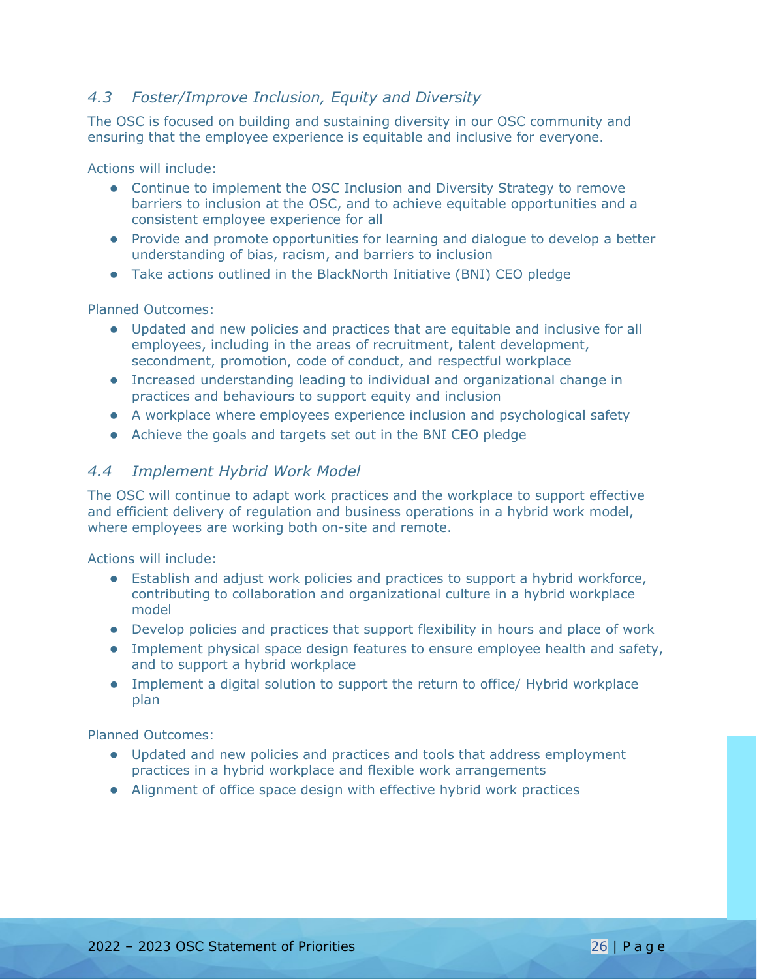#### *4.3 Foster/Improve Inclusion, Equity and Diversity*

The OSC is focused on building and sustaining diversity in our OSC community and ensuring that the employee experience is equitable and inclusive for everyone.

Actions will include:

- Continue to implement the OSC Inclusion and Diversity Strategy to remove barriers to inclusion at the OSC, and to achieve equitable opportunities and a consistent employee experience for all
- Provide and promote opportunities for learning and dialogue to develop a better understanding of bias, racism, and barriers to inclusion
- Take actions outlined in the BlackNorth Initiative (BNI) CEO pledge

Planned Outcomes:

- Updated and new policies and practices that are equitable and inclusive for all employees, including in the areas of recruitment, talent development, secondment, promotion, code of conduct, and respectful workplace
- Increased understanding leading to individual and organizational change in practices and behaviours to support equity and inclusion
- A workplace where employees experience inclusion and psychological safety
- Achieve the goals and targets set out in the BNI CEO pledge

#### *4.4 Implement Hybrid Work Model*

The OSC will continue to adapt work practices and the workplace to support effective and efficient delivery of regulation and business operations in a hybrid work model, where employees are working both on-site and remote.

Actions will include:

- Establish and adjust work policies and practices to support a hybrid workforce, contributing to collaboration and organizational culture in a hybrid workplace model
- Develop policies and practices that support flexibility in hours and place of work
- Implement physical space design features to ensure employee health and safety, and to support a hybrid workplace
- Implement a digital solution to support the return to office/ Hybrid workplace plan

- Updated and new policies and practices and tools that address employment practices in a hybrid workplace and flexible work arrangements
- Alignment of office space design with effective hybrid work practices